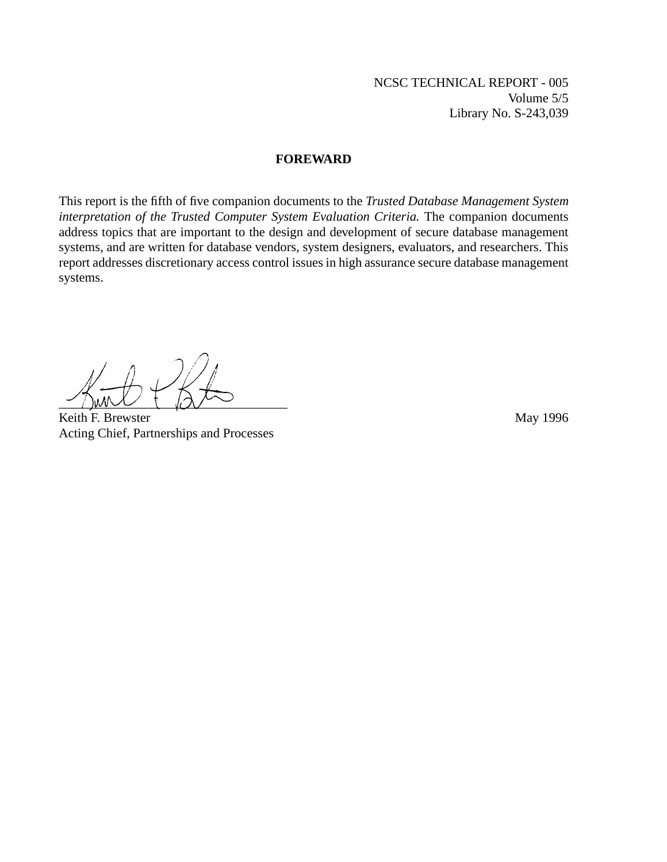NCSC TECHNICAL REPORT - 005 Volume 5/5 Library No. S-243,039

#### **FOREWARD**

This report is the fifth of five companion documents to the *Trusted Database Management System interpretation of the Trusted Computer System Evaluation Criteria.* The companion documents address topics that are important to the design and development of secure database management systems, and are written for database vendors, system designers, evaluators, and researchers. This report addresses discretionary access control issues in high assurance secure database management systems.

\_\_\_\_\_\_\_\_\_\_\_\_\_\_\_\_\_\_\_\_\_\_\_\_\_\_\_\_\_\_\_\_\_\_\_

Keith F. Brewster May 1996 Acting Chief, Partnerships and Processes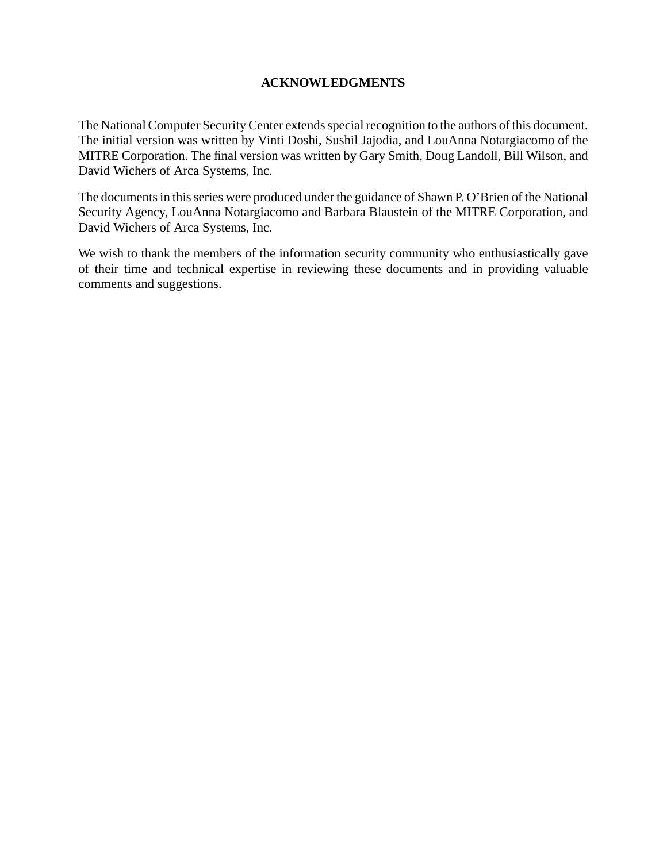### **ACKNOWLEDGMENTS**

The National Computer Security Center extends special recognition to the authors of this document. The initial version was written by Vinti Doshi, Sushil Jajodia, and LouAnna Notargiacomo of the MITRE Corporation. The final version was written by Gary Smith, Doug Landoll, Bill Wilson, and David Wichers of Arca Systems, Inc.

The documents in this series were produced under the guidance of Shawn P. O'Brien of the National Security Agency, LouAnna Notargiacomo and Barbara Blaustein of the MITRE Corporation, and David Wichers of Arca Systems, Inc.

We wish to thank the members of the information security community who enthusiastically gave of their time and technical expertise in reviewing these documents and in providing valuable comments and suggestions.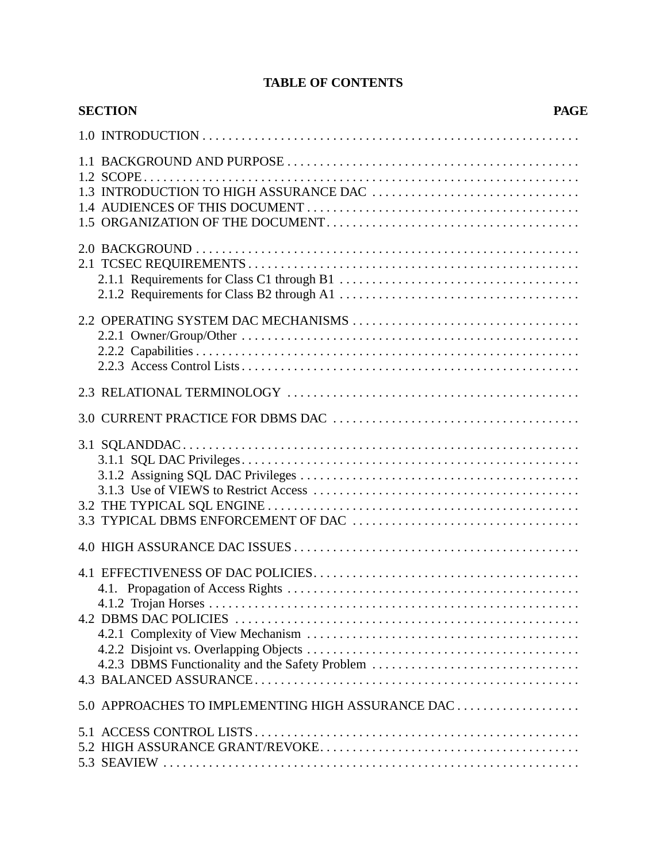# **TABLE OF CONTENTS**

| <b>SECTION</b>                                    | <b>PAGE</b> |
|---------------------------------------------------|-------------|
|                                                   |             |
|                                                   |             |
|                                                   |             |
|                                                   |             |
|                                                   |             |
|                                                   |             |
|                                                   |             |
|                                                   |             |
|                                                   |             |
| 4.2.3 DBMS Functionality and the Safety Problem   |             |
|                                                   |             |
| 5.0 APPROACHES TO IMPLEMENTING HIGH ASSURANCE DAC |             |
|                                                   |             |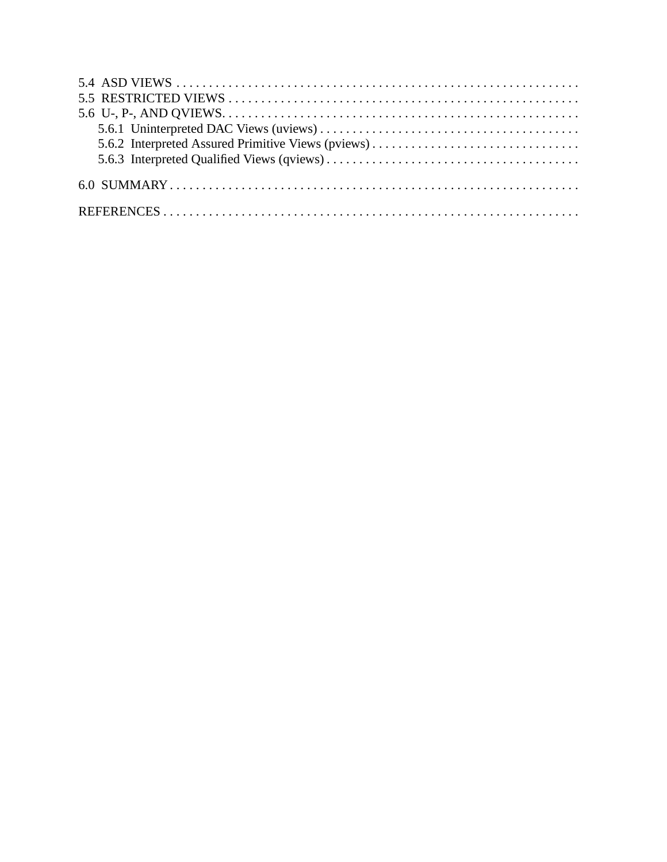| 5.6.2 Interpreted Assured Primitive Views (pviews) |  |
|----------------------------------------------------|--|
|                                                    |  |
|                                                    |  |
|                                                    |  |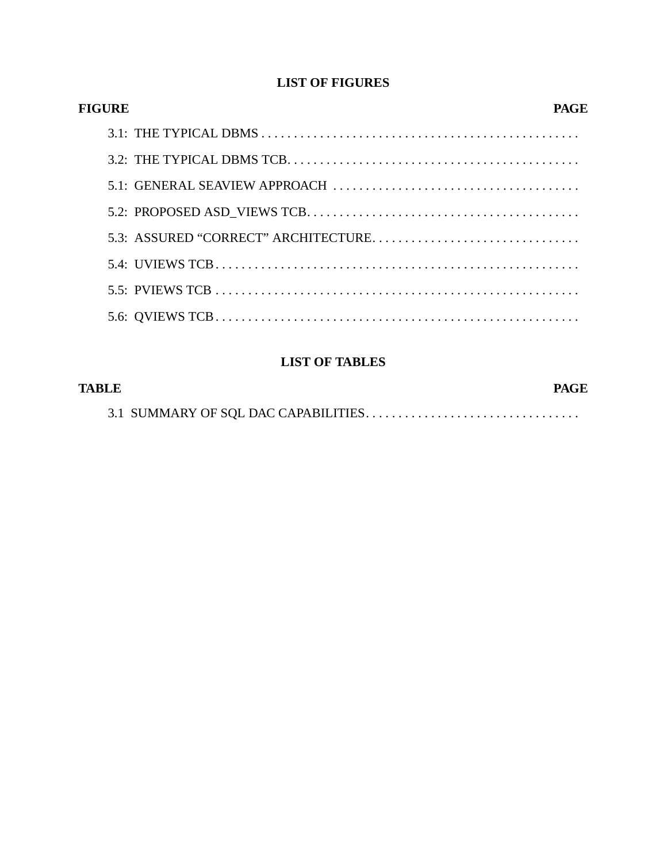## **LIST OF FIGURES**

| <b>FIGURE</b> | PAGE |  |
|---------------|------|--|
|               |      |  |
|               |      |  |
|               |      |  |
|               |      |  |
|               |      |  |
|               |      |  |
|               |      |  |
|               |      |  |

# **LIST OF TABLES**

| TABLE | <b>PAGE</b> |
|-------|-------------|
|       |             |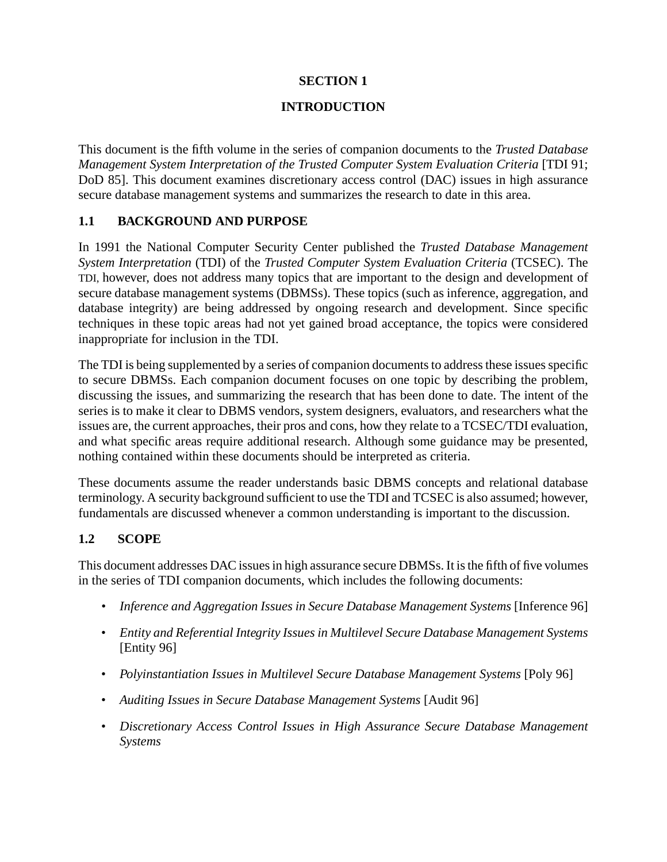## **SECTION 1**

## **INTRODUCTION**

This document is the fifth volume in the series of companion documents to the *Trusted Database Management System Interpretation of the Trusted Computer System Evaluation Criteria* [TDI 91; DoD 85]. This document examines discretionary access control (DAC) issues in high assurance secure database management systems and summarizes the research to date in this area.

## **1.1 BACKGROUND AND PURPOSE**

In 1991 the National Computer Security Center published the *Trusted Database Management System Interpretation* (TDI) of the *Trusted Computer System Evaluation Criteria* (TCSEC). The TDI, however, does not address many topics that are important to the design and development of secure database management systems (DBMSs). These topics (such as inference, aggregation, and database integrity) are being addressed by ongoing research and development. Since specific techniques in these topic areas had not yet gained broad acceptance, the topics were considered inappropriate for inclusion in the TDI.

The TDI is being supplemented by a series of companion documents to address these issues specific to secure DBMSs. Each companion document focuses on one topic by describing the problem, discussing the issues, and summarizing the research that has been done to date. The intent of the series is to make it clear to DBMS vendors, system designers, evaluators, and researchers what the issues are, the current approaches, their pros and cons, how they relate to a TCSEC/TDI evaluation, and what specific areas require additional research. Although some guidance may be presented, nothing contained within these documents should be interpreted as criteria.

These documents assume the reader understands basic DBMS concepts and relational database terminology. A security background sufficient to use the TDI and TCSEC is also assumed; however, fundamentals are discussed whenever a common understanding is important to the discussion.

## **1.2 SCOPE**

This document addresses DAC issues in high assurance secure DBMSs. It is the fifth of five volumes in the series of TDI companion documents, which includes the following documents:

- *Inference and Aggregation Issues in Secure Database Management Systems* [Inference 96]
- *Entity and Referential Integrity Issues in Multilevel Secure Database Management Systems* [Entity 96]
- *Polyinstantiation Issues in Multilevel Secure Database Management Systems* [Poly 96]
- *Auditing Issues in Secure Database Management Systems* [Audit 96]
- *Discretionary Access Control Issues in High Assurance Secure Database Management Systems*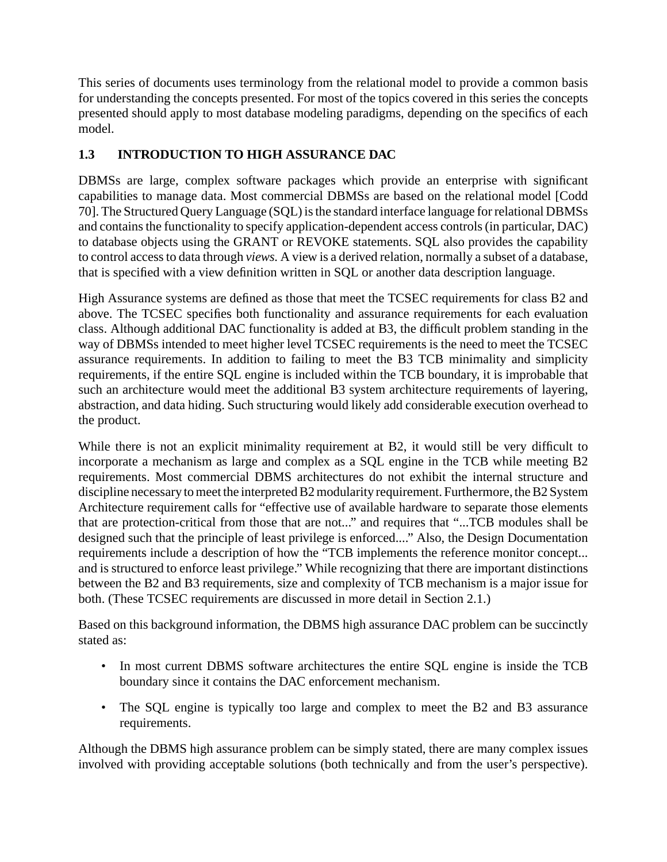This series of documents uses terminology from the relational model to provide a common basis for understanding the concepts presented. For most of the topics covered in this series the concepts presented should apply to most database modeling paradigms, depending on the specifics of each model.

# **1.3 INTRODUCTION TO HIGH ASSURANCE DAC**

DBMSs are large, complex software packages which provide an enterprise with significant capabilities to manage data. Most commercial DBMSs are based on the relational model [Codd 70]. The Structured Query Language (SQL) is the standard interface language for relational DBMSs and contains the functionality to specify application-dependent access controls (in particular, DAC) to database objects using the GRANT or REVOKE statements. SQL also provides the capability to control access to data through *views.* A view is a derived relation, normally a subset of a database, that is specified with a view definition written in SQL or another data description language.

High Assurance systems are defined as those that meet the TCSEC requirements for class B2 and above. The TCSEC specifies both functionality and assurance requirements for each evaluation class. Although additional DAC functionality is added at B3, the difficult problem standing in the way of DBMSs intended to meet higher level TCSEC requirements is the need to meet the TCSEC assurance requirements. In addition to failing to meet the B3 TCB minimality and simplicity requirements, if the entire SQL engine is included within the TCB boundary, it is improbable that such an architecture would meet the additional B3 system architecture requirements of layering, abstraction, and data hiding. Such structuring would likely add considerable execution overhead to the product.

While there is not an explicit minimality requirement at B2, it would still be very difficult to incorporate a mechanism as large and complex as a SQL engine in the TCB while meeting B2 requirements. Most commercial DBMS architectures do not exhibit the internal structure and discipline necessary to meet the interpreted B2 modularity requirement. Furthermore, the B2 System Architecture requirement calls for "effective use of available hardware to separate those elements that are protection-critical from those that are not..." and requires that "...TCB modules shall be designed such that the principle of least privilege is enforced...." Also, the Design Documentation requirements include a description of how the "TCB implements the reference monitor concept... and is structured to enforce least privilege." While recognizing that there are important distinctions between the B2 and B3 requirements, size and complexity of TCB mechanism is a major issue for both. (These TCSEC requirements are discussed in more detail in Section 2.1.)

Based on this background information, the DBMS high assurance DAC problem can be succinctly stated as:

- In most current DBMS software architectures the entire SQL engine is inside the TCB boundary since it contains the DAC enforcement mechanism.
- The SQL engine is typically too large and complex to meet the B2 and B3 assurance requirements.

Although the DBMS high assurance problem can be simply stated, there are many complex issues involved with providing acceptable solutions (both technically and from the user's perspective).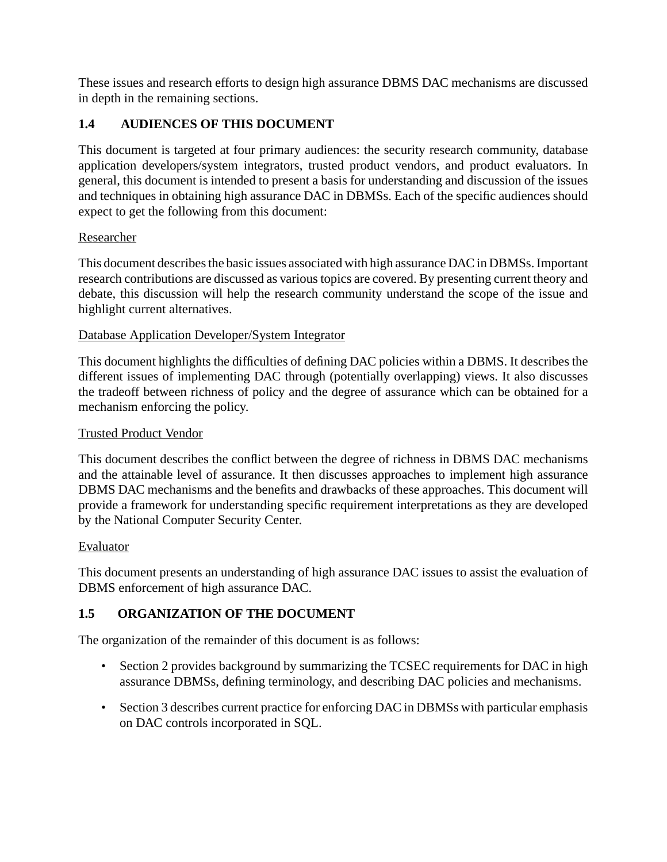These issues and research efforts to design high assurance DBMS DAC mechanisms are discussed in depth in the remaining sections.

## **1.4 AUDIENCES OF THIS DOCUMENT**

This document is targeted at four primary audiences: the security research community, database application developers/system integrators, trusted product vendors, and product evaluators. In general, this document is intended to present a basis for understanding and discussion of the issues and techniques in obtaining high assurance DAC in DBMSs. Each of the specific audiences should expect to get the following from this document:

### Researcher

This document describes the basic issues associated with high assurance DAC in DBMSs. Important research contributions are discussed as various topics are covered. By presenting current theory and debate, this discussion will help the research community understand the scope of the issue and highlight current alternatives.

### Database Application Developer/System Integrator

This document highlights the difficulties of defining DAC policies within a DBMS. It describes the different issues of implementing DAC through (potentially overlapping) views. It also discusses the tradeoff between richness of policy and the degree of assurance which can be obtained for a mechanism enforcing the policy.

#### Trusted Product Vendor

This document describes the conflict between the degree of richness in DBMS DAC mechanisms and the attainable level of assurance. It then discusses approaches to implement high assurance DBMS DAC mechanisms and the benefits and drawbacks of these approaches. This document will provide a framework for understanding specific requirement interpretations as they are developed by the National Computer Security Center.

#### Evaluator

This document presents an understanding of high assurance DAC issues to assist the evaluation of DBMS enforcement of high assurance DAC.

### **1.5 ORGANIZATION OF THE DOCUMENT**

The organization of the remainder of this document is as follows:

- Section 2 provides background by summarizing the TCSEC requirements for DAC in high assurance DBMSs, defining terminology, and describing DAC policies and mechanisms.
- Section 3 describes current practice for enforcing DAC in DBMSs with particular emphasis on DAC controls incorporated in SQL.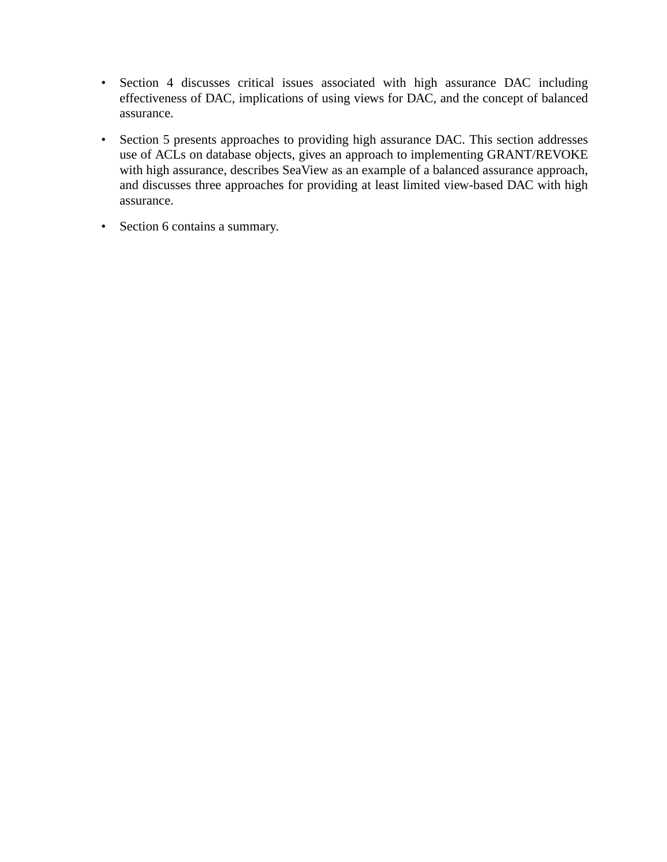- Section 4 discusses critical issues associated with high assurance DAC including effectiveness of DAC, implications of using views for DAC, and the concept of balanced assurance.
- Section 5 presents approaches to providing high assurance DAC. This section addresses use of ACLs on database objects, gives an approach to implementing GRANT/REVOKE with high assurance, describes SeaView as an example of a balanced assurance approach, and discusses three approaches for providing at least limited view-based DAC with high assurance.
- Section 6 contains a summary.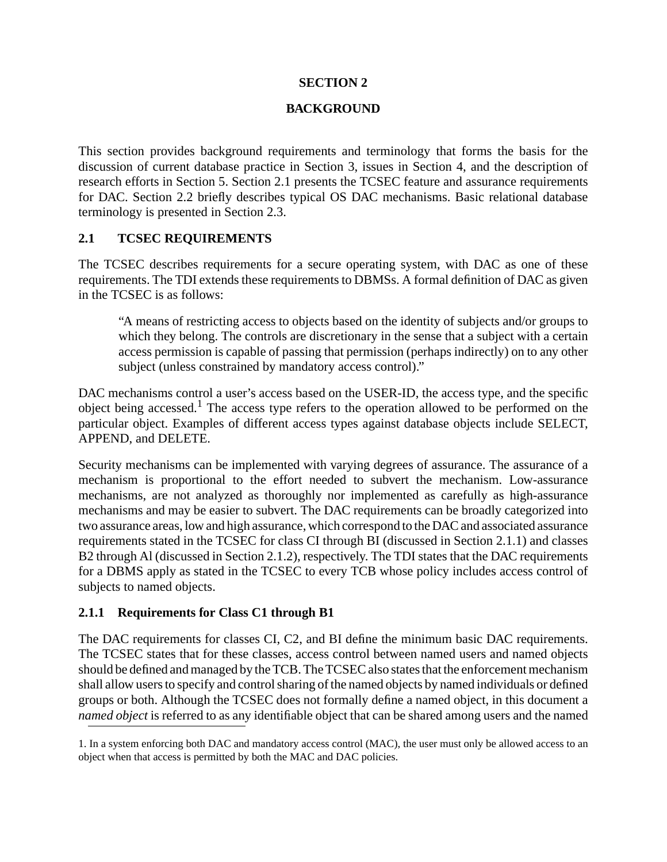#### **SECTION 2**

#### **BACKGROUND**

This section provides background requirements and terminology that forms the basis for the discussion of current database practice in Section 3, issues in Section 4, and the description of research efforts in Section 5. Section 2.1 presents the TCSEC feature and assurance requirements for DAC. Section 2.2 briefly describes typical OS DAC mechanisms. Basic relational database terminology is presented in Section 2.3.

#### **2.1 TCSEC REQUIREMENTS**

The TCSEC describes requirements for a secure operating system, with DAC as one of these requirements. The TDI extends these requirements to DBMSs. A formal definition of DAC as given in the TCSEC is as follows:

"A means of restricting access to objects based on the identity of subjects and/or groups to which they belong. The controls are discretionary in the sense that a subject with a certain access permission is capable of passing that permission (perhaps indirectly) on to any other subject (unless constrained by mandatory access control)."

DAC mechanisms control a user's access based on the USER-ID, the access type, and the specific object being accessed.<sup>1</sup> The access type refers to the operation allowed to be performed on the particular object. Examples of different access types against database objects include SELECT, APPEND, and DELETE.

Security mechanisms can be implemented with varying degrees of assurance. The assurance of a mechanism is proportional to the effort needed to subvert the mechanism. Low-assurance mechanisms, are not analyzed as thoroughly nor implemented as carefully as high-assurance mechanisms and may be easier to subvert. The DAC requirements can be broadly categorized into two assurance areas, low and high assurance, which correspond to the DAC and associated assurance requirements stated in the TCSEC for class CI through BI (discussed in Section 2.1.1) and classes B2 through Al (discussed in Section 2.1.2), respectively. The TDI states that the DAC requirements for a DBMS apply as stated in the TCSEC to every TCB whose policy includes access control of subjects to named objects.

#### **2.1.1 Requirements for Class C1 through B1**

The DAC requirements for classes CI, C2, and BI define the minimum basic DAC requirements. The TCSEC states that for these classes, access control between named users and named objects should be defined and managed by the TCB. The TCSEC also states that the enforcement mechanism shall allow users to specify and control sharing of the named objects by named individuals or defined groups or both. Although the TCSEC does not formally define a named object, in this document a *named object* is referred to as any identifiable object that can be shared among users and the named

<sup>1.</sup> In a system enforcing both DAC and mandatory access control (MAC), the user must only be allowed access to an object when that access is permitted by both the MAC and DAC policies.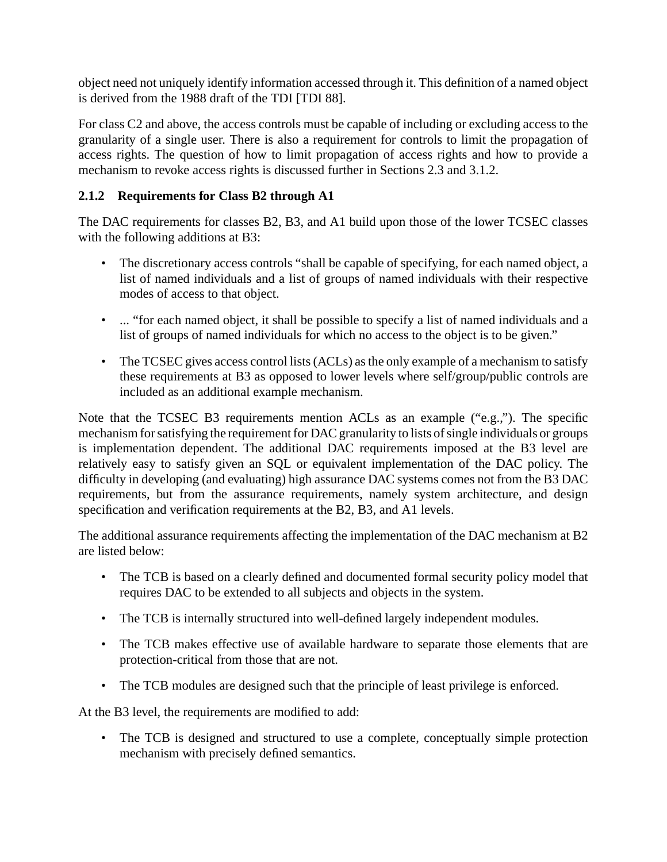object need not uniquely identify information accessed through it. This definition of a named object is derived from the 1988 draft of the TDI [TDI 88].

For class C2 and above, the access controls must be capable of including or excluding access to the granularity of a single user. There is also a requirement for controls to limit the propagation of access rights. The question of how to limit propagation of access rights and how to provide a mechanism to revoke access rights is discussed further in Sections 2.3 and 3.1.2.

### **2.1.2 Requirements for Class B2 through A1**

The DAC requirements for classes B2, B3, and A1 build upon those of the lower TCSEC classes with the following additions at B3:

- The discretionary access controls "shall be capable of specifying, for each named object, a list of named individuals and a list of groups of named individuals with their respective modes of access to that object.
- ... "for each named object, it shall be possible to specify a list of named individuals and a list of groups of named individuals for which no access to the object is to be given."
- The TCSEC gives access control lists (ACLs) as the only example of a mechanism to satisfy these requirements at B3 as opposed to lower levels where self/group/public controls are included as an additional example mechanism.

Note that the TCSEC B3 requirements mention ACLs as an example ("e.g.,"). The specific mechanism for satisfying the requirement for DAC granularity to lists of single individuals or groups is implementation dependent. The additional DAC requirements imposed at the B3 level are relatively easy to satisfy given an SQL or equivalent implementation of the DAC policy. The difficulty in developing (and evaluating) high assurance DAC systems comes not from the B3 DAC requirements, but from the assurance requirements, namely system architecture, and design specification and verification requirements at the B2, B3, and A1 levels.

The additional assurance requirements affecting the implementation of the DAC mechanism at B2 are listed below:

- The TCB is based on a clearly defined and documented formal security policy model that requires DAC to be extended to all subjects and objects in the system.
- The TCB is internally structured into well-defined largely independent modules.
- The TCB makes effective use of available hardware to separate those elements that are protection-critical from those that are not.
- The TCB modules are designed such that the principle of least privilege is enforced.

At the B3 level, the requirements are modified to add:

• The TCB is designed and structured to use a complete, conceptually simple protection mechanism with precisely defined semantics.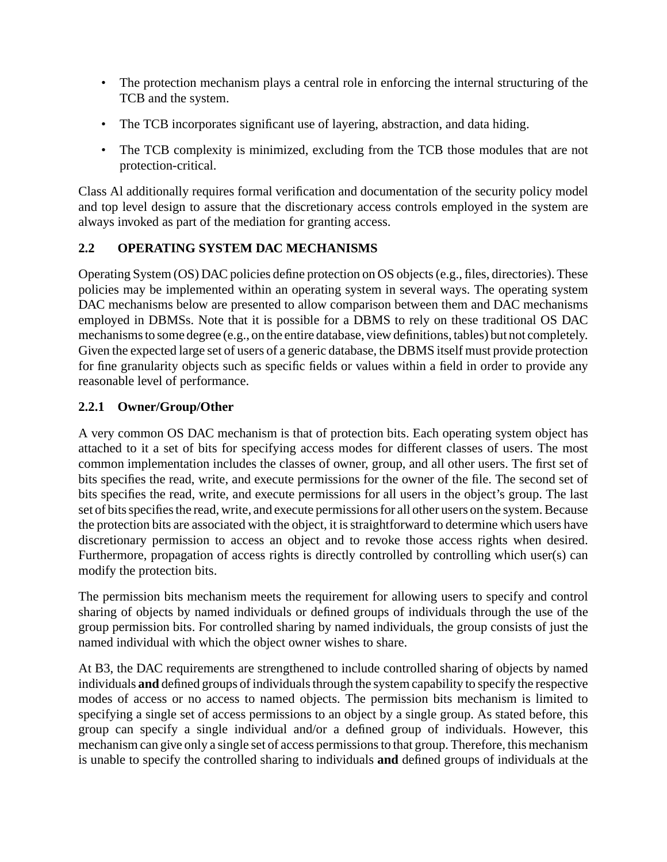- The protection mechanism plays a central role in enforcing the internal structuring of the TCB and the system.
- The TCB incorporates significant use of layering, abstraction, and data hiding.
- The TCB complexity is minimized, excluding from the TCB those modules that are not protection-critical.

Class Al additionally requires formal verification and documentation of the security policy model and top level design to assure that the discretionary access controls employed in the system are always invoked as part of the mediation for granting access.

## **2.2 OPERATING SYSTEM DAC MECHANISMS**

Operating System (OS) DAC policies define protection on OS objects (e.g., files, directories). These policies may be implemented within an operating system in several ways. The operating system DAC mechanisms below are presented to allow comparison between them and DAC mechanisms employed in DBMSs. Note that it is possible for a DBMS to rely on these traditional OS DAC mechanisms to some degree (e.g., on the entire database, view definitions, tables) but not completely. Given the expected large set of users of a generic database, the DBMS itself must provide protection for fine granularity objects such as specific fields or values within a field in order to provide any reasonable level of performance.

## **2.2.1 Owner/Group/Other**

A very common OS DAC mechanism is that of protection bits. Each operating system object has attached to it a set of bits for specifying access modes for different classes of users. The most common implementation includes the classes of owner, group, and all other users. The first set of bits specifies the read, write, and execute permissions for the owner of the file. The second set of bits specifies the read, write, and execute permissions for all users in the object's group. The last set of bits specifies the read, write, and execute permissions for all other users on the system. Because the protection bits are associated with the object, it is straightforward to determine which users have discretionary permission to access an object and to revoke those access rights when desired. Furthermore, propagation of access rights is directly controlled by controlling which user(s) can modify the protection bits.

The permission bits mechanism meets the requirement for allowing users to specify and control sharing of objects by named individuals or defined groups of individuals through the use of the group permission bits. For controlled sharing by named individuals, the group consists of just the named individual with which the object owner wishes to share.

At B3, the DAC requirements are strengthened to include controlled sharing of objects by named individuals **and** defined groups of individuals through the system capability to specify the respective modes of access or no access to named objects. The permission bits mechanism is limited to specifying a single set of access permissions to an object by a single group. As stated before, this group can specify a single individual and/or a defined group of individuals. However, this mechanism can give only a single set of access permissions to that group. Therefore, this mechanism is unable to specify the controlled sharing to individuals **and** defined groups of individuals at the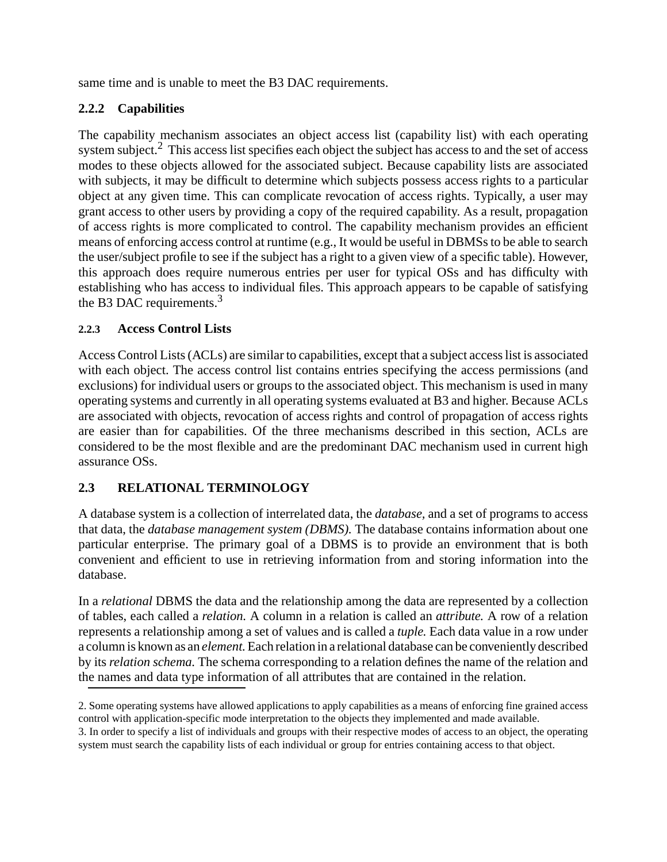same time and is unable to meet the B3 DAC requirements.

# **2.2.2 Capabilities**

The capability mechanism associates an object access list (capability list) with each operating system subject.<sup>2</sup> This access list specifies each object the subject has access to and the set of access modes to these objects allowed for the associated subject. Because capability lists are associated with subjects, it may be difficult to determine which subjects possess access rights to a particular object at any given time. This can complicate revocation of access rights. Typically, a user may grant access to other users by providing a copy of the required capability. As a result, propagation of access rights is more complicated to control. The capability mechanism provides an efficient means of enforcing access control at runtime (e.g., It would be useful in DBMSs to be able to search the user/subject profile to see if the subject has a right to a given view of a specific table). However, this approach does require numerous entries per user for typical OSs and has difficulty with establishing who has access to individual files. This approach appears to be capable of satisfying the B3 DAC requirements.<sup>3</sup>

## **2.2.3 Access Control Lists**

Access Control Lists (ACLs) are similar to capabilities, except that a subject access list is associated with each object. The access control list contains entries specifying the access permissions (and exclusions) for individual users or groups to the associated object. This mechanism is used in many operating systems and currently in all operating systems evaluated at B3 and higher. Because ACLs are associated with objects, revocation of access rights and control of propagation of access rights are easier than for capabilities. Of the three mechanisms described in this section, ACLs are considered to be the most flexible and are the predominant DAC mechanism used in current high assurance OSs.

## **2.3 RELATIONAL TERMINOLOGY**

A database system is a collection of interrelated data, the *database,* and a set of programs to access that data, the *database management system (DBMS).* The database contains information about one particular enterprise. The primary goal of a DBMS is to provide an environment that is both convenient and efficient to use in retrieving information from and storing information into the database.

In a *relational* DBMS the data and the relationship among the data are represented by a collection of tables, each called a *relation.* A column in a relation is called an *attribute.* A row of a relation represents a relationship among a set of values and is called a *tuple.* Each data value in a row under a column is known as an *element.*Each relation in a relational database can be conveniently described by its *relation schema.* The schema corresponding to a relation defines the name of the relation and the names and data type information of all attributes that are contained in the relation.

<sup>2.</sup> Some operating systems have allowed applications to apply capabilities as a means of enforcing fine grained access control with application-specific mode interpretation to the objects they implemented and made available.

<sup>3.</sup> In order to specify a list of individuals and groups with their respective modes of access to an object, the operating system must search the capability lists of each individual or group for entries containing access to that object.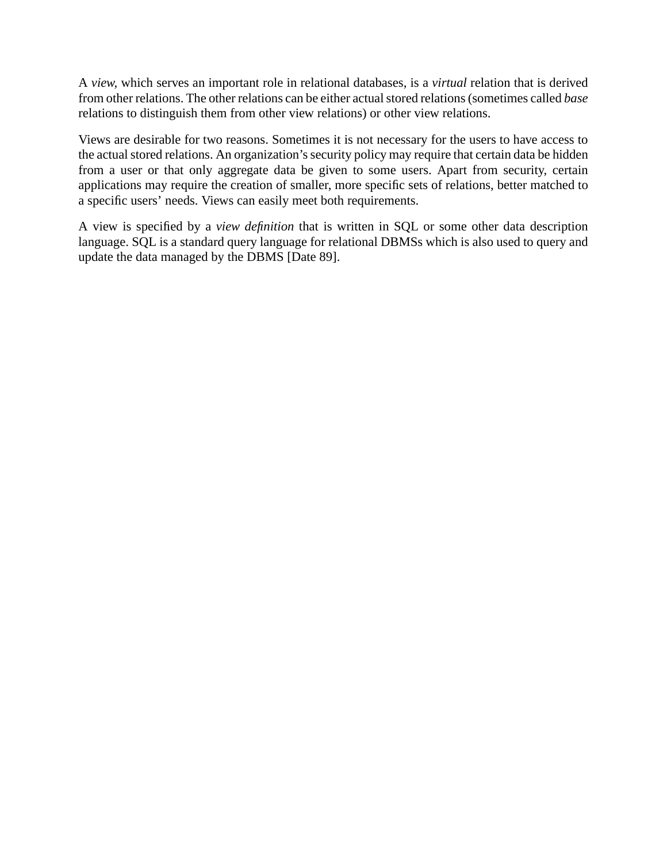A *view,* which serves an important role in relational databases, is a *virtual* relation that is derived from other relations. The other relations can be either actual stored relations (sometimes called *base* relations to distinguish them from other view relations) or other view relations.

Views are desirable for two reasons. Sometimes it is not necessary for the users to have access to the actual stored relations. An organization's security policy may require that certain data be hidden from a user or that only aggregate data be given to some users. Apart from security, certain applications may require the creation of smaller, more specific sets of relations, better matched to a specific users' needs. Views can easily meet both requirements.

A view is specified by a *view definition* that is written in SQL or some other data description language. SQL is a standard query language for relational DBMSs which is also used to query and update the data managed by the DBMS [Date 89].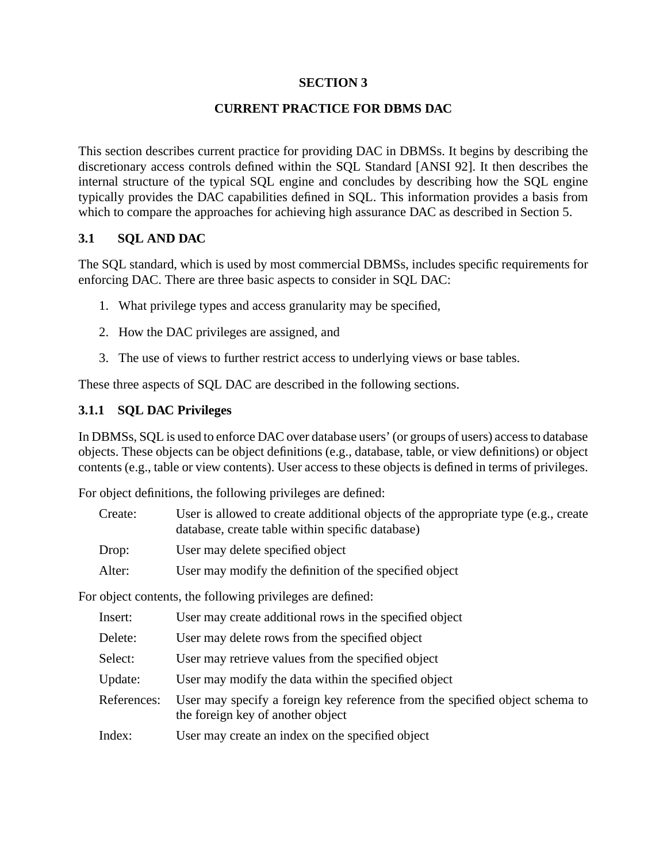#### **SECTION 3**

### **CURRENT PRACTICE FOR DBMS DAC**

This section describes current practice for providing DAC in DBMSs. It begins by describing the discretionary access controls defined within the SQL Standard [ANSI 92]. It then describes the internal structure of the typical SQL engine and concludes by describing how the SQL engine typically provides the DAC capabilities defined in SQL. This information provides a basis from which to compare the approaches for achieving high assurance DAC as described in Section 5.

#### **3.1 SQL AND DAC**

The SQL standard, which is used by most commercial DBMSs, includes specific requirements for enforcing DAC. There are three basic aspects to consider in SQL DAC:

- 1. What privilege types and access granularity may be specified,
- 2. How the DAC privileges are assigned, and
- 3. The use of views to further restrict access to underlying views or base tables.

These three aspects of SQL DAC are described in the following sections.

### **3.1.1 SQL DAC Privileges**

In DBMSs, SQL is used to enforce DAC over database users' (or groups of users) access to database objects. These objects can be object definitions (e.g., database, table, or view definitions) or object contents (e.g., table or view contents). User access to these objects is defined in terms of privileges.

For object definitions, the following privileges are defined:

| Create: | User is allowed to create additional objects of the appropriate type (e.g., create<br>database, create table within specific database) |
|---------|----------------------------------------------------------------------------------------------------------------------------------------|
| Drop:   | User may delete specified object                                                                                                       |
| Alter:  | User may modify the definition of the specified object                                                                                 |

For object contents, the following privileges are defined:

| Insert:     | User may create additional rows in the specified object                                                           |
|-------------|-------------------------------------------------------------------------------------------------------------------|
| Delete:     | User may delete rows from the specified object                                                                    |
| Select:     | User may retrieve values from the specified object                                                                |
| Update:     | User may modify the data within the specified object                                                              |
| References: | User may specify a foreign key reference from the specified object schema to<br>the foreign key of another object |
| Index:      | User may create an index on the specified object                                                                  |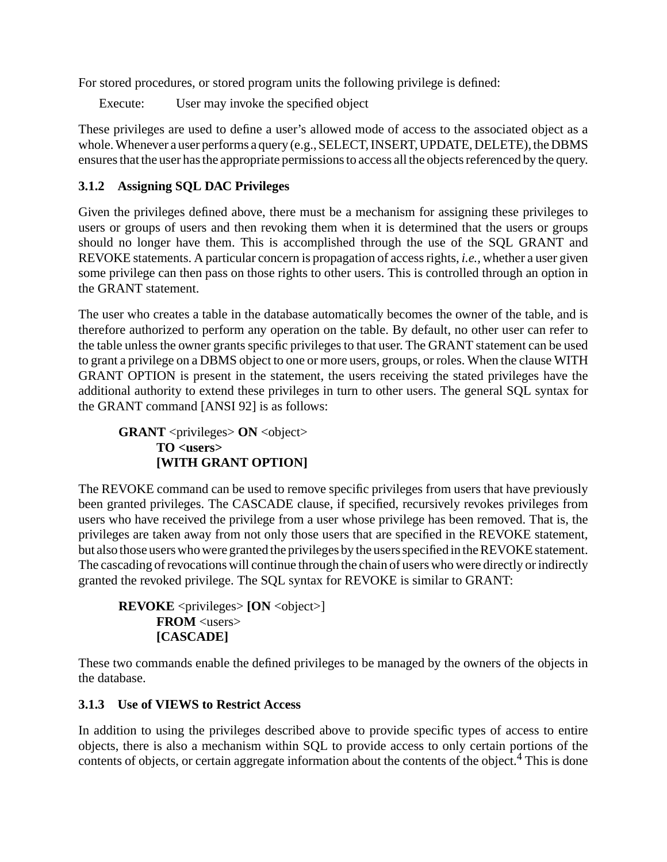For stored procedures, or stored program units the following privilege is defined:

Execute: User may invoke the specified object

These privileges are used to define a user's allowed mode of access to the associated object as a whole. Whenever a user performs a query (e.g., SELECT, INSERT, UPDATE, DELETE), the DBMS ensures that the user has the appropriate permissions to access all the objects referenced by the query.

# **3.1.2 Assigning SQL DAC Privileges**

Given the privileges defined above, there must be a mechanism for assigning these privileges to users or groups of users and then revoking them when it is determined that the users or groups should no longer have them. This is accomplished through the use of the SQL GRANT and REVOKE statements. A particular concern is propagation of access rights, *i.e.,* whether a user given some privilege can then pass on those rights to other users. This is controlled through an option in the GRANT statement.

The user who creates a table in the database automatically becomes the owner of the table, and is therefore authorized to perform any operation on the table. By default, no other user can refer to the table unless the owner grants specific privileges to that user. The GRANT statement can be used to grant a privilege on a DBMS object to one or more users, groups, or roles. When the clause WITH GRANT OPTION is present in the statement, the users receiving the stated privileges have the additional authority to extend these privileges in turn to other users. The general SQL syntax for the GRANT command [ANSI 92] is as follows:

**GRANT** <privileges> **ON** <object> **TO <users> [WITH GRANT OPTION]**

The REVOKE command can be used to remove specific privileges from users that have previously been granted privileges. The CASCADE clause, if specified, recursively revokes privileges from users who have received the privilege from a user whose privilege has been removed. That is, the privileges are taken away from not only those users that are specified in the REVOKE statement, but also those users who were granted the privileges by the users specified in the REVOKE statement. The cascading of revocations will continue through the chain of users who were directly or indirectly granted the revoked privilege. The SQL syntax for REVOKE is similar to GRANT:

**REVOKE** <privileges> **[ON** <object>] **FROM** <users> **[CASCADE]**

These two commands enable the defined privileges to be managed by the owners of the objects in the database.

## **3.1.3 Use of VIEWS to Restrict Access**

In addition to using the privileges described above to provide specific types of access to entire objects, there is also a mechanism within SQL to provide access to only certain portions of the contents of objects, or certain aggregate information about the contents of the object.<sup>4</sup> This is done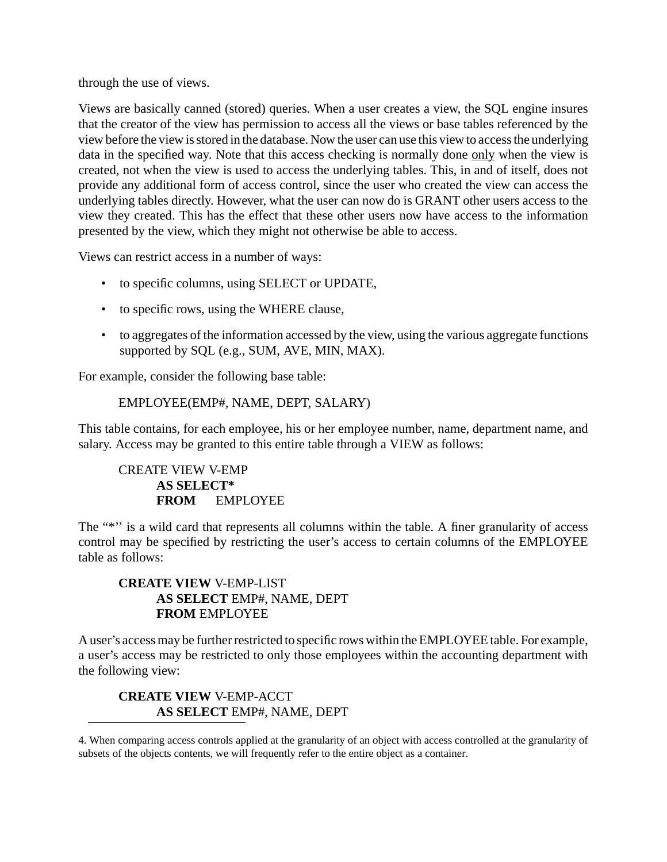through the use of views.

Views are basically canned (stored) queries. When a user creates a view, the SQL engine insures that the creator of the view has permission to access all the views or base tables referenced by the view before the view is stored in the database. Now the user can use this view to access the underlying data in the specified way. Note that this access checking is normally done only when the view is created, not when the view is used to access the underlying tables. This, in and of itself, does not provide any additional form of access control, since the user who created the view can access the underlying tables directly. However, what the user can now do is GRANT other users access to the view they created. This has the effect that these other users now have access to the information presented by the view, which they might not otherwise be able to access.

Views can restrict access in a number of ways:

- to specific columns, using SELECT or UPDATE,
- to specific rows, using the WHERE clause,
- to aggregates of the information accessed by the view, using the various aggregate functions supported by SQL (e.g., SUM, AVE, MIN, MAX).

For example, consider the following base table:

#### EMPLOYEE(EMP#, NAME, DEPT, SALARY)

This table contains, for each employee, his or her employee number, name, department name, and salary. Access may be granted to this entire table through a VIEW as follows:

## CREATE VIEW V-EMP **AS SELECT\* FROM** EMPLOYEE

The "\*" is a wild card that represents all columns within the table. A finer granularity of access control may be specified by restricting the user's access to certain columns of the EMPLOYEE table as follows:

### **CREATE VIEW** V-EMP-LIST **AS SELECT** EMP#, NAME, DEPT **FROM** EMPLOYEE

A user's access may be further restricted to specific rows within the EMPLOYEE table. For example, a user's access may be restricted to only those employees within the accounting department with the following view:

#### **CREATE VIEW** V-EMP-ACCT **AS SELECT** EMP#, NAME, DEPT

4. When comparing access controls applied at the granularity of an object with access controlled at the granularity of subsets of the objects contents, we will frequently refer to the entire object as a container.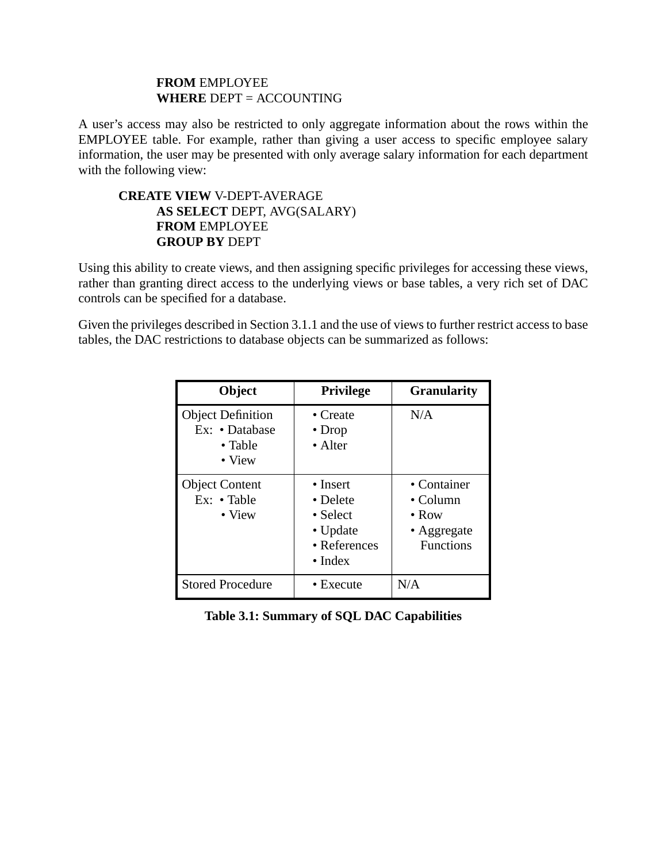#### **FROM** EMPLOYEE **WHERE** DEPT = ACCOUNTING

A user's access may also be restricted to only aggregate information about the rows within the EMPLOYEE table. For example, rather than giving a user access to specific employee salary information, the user may be presented with only average salary information for each department with the following view:

### **CREATE VIEW** V-DEPT-AVERAGE **AS SELECT** DEPT, AVG(SALARY) **FROM** EMPLOYEE **GROUP BY** DEPT

Using this ability to create views, and then assigning specific privileges for accessing these views, rather than granting direct access to the underlying views or base tables, a very rich set of DAC controls can be specified for a database.

Given the privileges described in Section 3.1.1 and the use of views to further restrict access to base tables, the DAC restrictions to database objects can be summarized as follows:

| Object                                                                  | <b>Privilege</b>                                                                        | <b>Granularity</b>                                                           |
|-------------------------------------------------------------------------|-----------------------------------------------------------------------------------------|------------------------------------------------------------------------------|
| <b>Object Definition</b><br>Ex: • Database<br>• Table<br>$\bullet$ View | $\bullet$ Create<br>$\bullet$ Drop<br>• Alter                                           | N/A                                                                          |
| <b>Object Content</b><br>$Ex: \cdot$ Table<br>$\bullet$ View            | $\bullet$ Insert<br>• Delete<br>• Select<br>• Update<br>• References<br>$\bullet$ Index | • Container<br>$\bullet$ Column<br>$\bullet$ Row<br>• Aggregate<br>Functions |
| <b>Stored Procedure</b>                                                 | • Execute                                                                               | N/A                                                                          |

### **Table 3.1: Summary of SQL DAC Capabilities**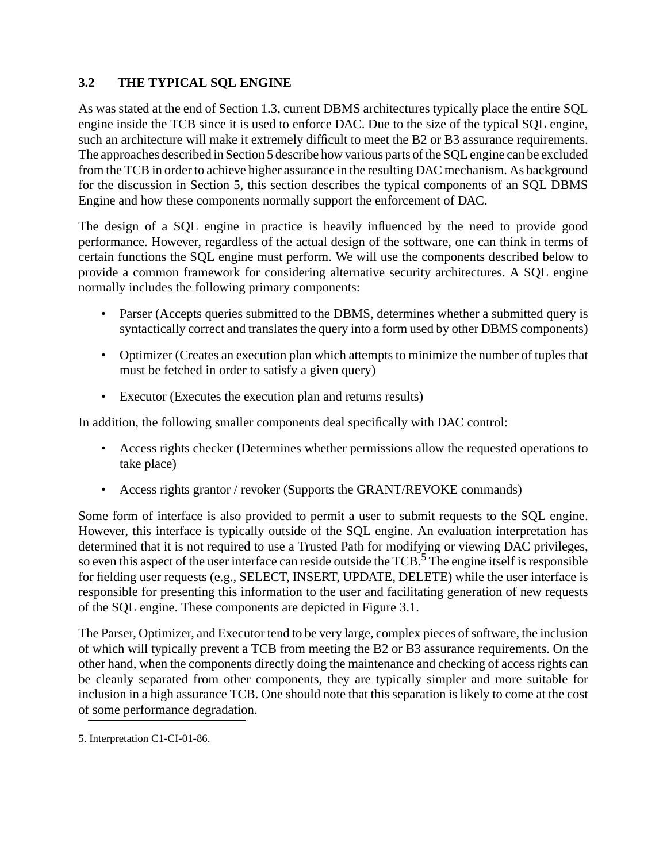## **3.2 THE TYPICAL SQL ENGINE**

As was stated at the end of Section 1.3, current DBMS architectures typically place the entire SQL engine inside the TCB since it is used to enforce DAC. Due to the size of the typical SQL engine, such an architecture will make it extremely difficult to meet the B2 or B3 assurance requirements. The approaches described in Section 5 describe how various parts of the SQL engine can be excluded from the TCB in order to achieve higher assurance in the resulting DAC mechanism. As background for the discussion in Section 5, this section describes the typical components of an SQL DBMS Engine and how these components normally support the enforcement of DAC.

The design of a SQL engine in practice is heavily influenced by the need to provide good performance. However, regardless of the actual design of the software, one can think in terms of certain functions the SQL engine must perform. We will use the components described below to provide a common framework for considering alternative security architectures. A SQL engine normally includes the following primary components:

- Parser (Accepts queries submitted to the DBMS, determines whether a submitted query is syntactically correct and translates the query into a form used by other DBMS components)
- Optimizer (Creates an execution plan which attempts to minimize the number of tuples that must be fetched in order to satisfy a given query)
- Executor (Executes the execution plan and returns results)

In addition, the following smaller components deal specifically with DAC control:

- Access rights checker (Determines whether permissions allow the requested operations to take place)
- Access rights grantor / revoker (Supports the GRANT/REVOKE commands)

Some form of interface is also provided to permit a user to submit requests to the SQL engine. However, this interface is typically outside of the SQL engine. An evaluation interpretation has determined that it is not required to use a Trusted Path for modifying or viewing DAC privileges, so even this aspect of the user interface can reside outside the TCB.<sup>5</sup> The engine itself is responsible for fielding user requests (e.g., SELECT, INSERT, UPDATE, DELETE) while the user interface is responsible for presenting this information to the user and facilitating generation of new requests of the SQL engine. These components are depicted in Figure 3.1.

The Parser, Optimizer, and Executor tend to be very large, complex pieces of software, the inclusion of which will typically prevent a TCB from meeting the B2 or B3 assurance requirements. On the other hand, when the components directly doing the maintenance and checking of access rights can be cleanly separated from other components, they are typically simpler and more suitable for inclusion in a high assurance TCB. One should note that this separation is likely to come at the cost of some performance degradation.

<sup>5.</sup> Interpretation C1-CI-01-86.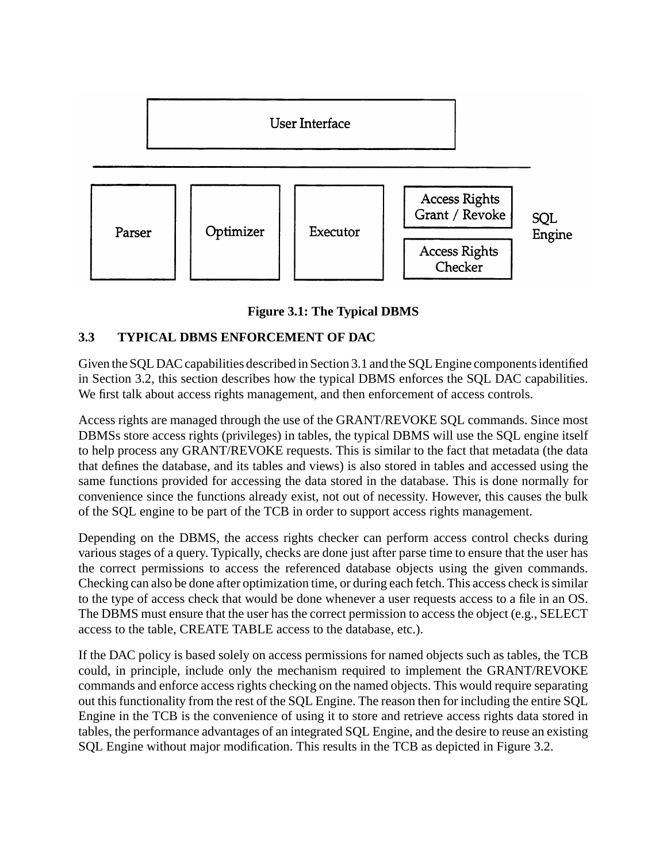

**Figure 3.1: The Typical DBMS**

# **3.3 TYPICAL DBMS ENFORCEMENT OF DAC**

Given the SQL DAC capabilities described in Section 3.1 and the SQL Engine components identified in Section 3.2, this section describes how the typical DBMS enforces the SQL DAC capabilities. We first talk about access rights management, and then enforcement of access controls.

Access rights are managed through the use of the GRANT/REVOKE SQL commands. Since most DBMSs store access rights (privileges) in tables, the typical DBMS will use the SQL engine itself to help process any GRANT/REVOKE requests. This is similar to the fact that metadata (the data that defines the database, and its tables and views) is also stored in tables and accessed using the same functions provided for accessing the data stored in the database. This is done normally for convenience since the functions already exist, not out of necessity. However, this causes the bulk of the SQL engine to be part of the TCB in order to support access rights management.

Depending on the DBMS, the access rights checker can perform access control checks during various stages of a query. Typically, checks are done just after parse time to ensure that the user has the correct permissions to access the referenced database objects using the given commands. Checking can also be done after optimization time, or during each fetch. This access check is similar to the type of access check that would be done whenever a user requests access to a file in an OS. The DBMS must ensure that the user has the correct permission to access the object (e.g., SELECT access to the table, CREATE TABLE access to the database, etc.).

If the DAC policy is based solely on access permissions for named objects such as tables, the TCB could, in principle, include only the mechanism required to implement the GRANT/REVOKE commands and enforce access rights checking on the named objects. This would require separating out this functionality from the rest of the SQL Engine. The reason then for including the entire SQL Engine in the TCB is the convenience of using it to store and retrieve access rights data stored in tables, the performance advantages of an integrated SQL Engine, and the desire to reuse an existing SQL Engine without major modification. This results in the TCB as depicted in Figure 3.2.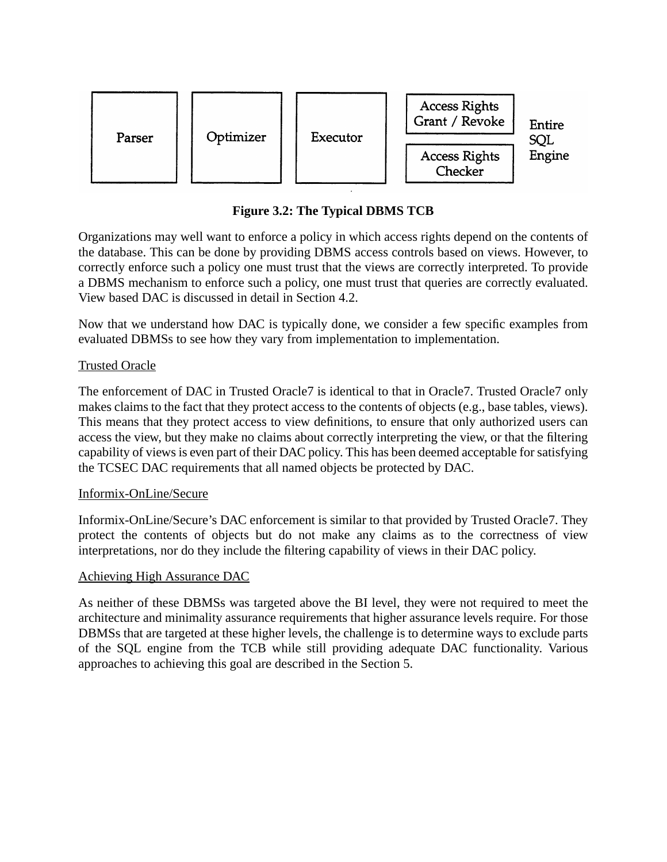

**Figure 3.2: The Typical DBMS TCB**

Organizations may well want to enforce a policy in which access rights depend on the contents of the database. This can be done by providing DBMS access controls based on views. However, to correctly enforce such a policy one must trust that the views are correctly interpreted. To provide a DBMS mechanism to enforce such a policy, one must trust that queries are correctly evaluated. View based DAC is discussed in detail in Section 4.2.

Now that we understand how DAC is typically done, we consider a few specific examples from evaluated DBMSs to see how they vary from implementation to implementation.

## Trusted Oracle

The enforcement of DAC in Trusted Oracle7 is identical to that in Oracle7. Trusted Oracle7 only makes claims to the fact that they protect access to the contents of objects (e.g., base tables, views). This means that they protect access to view definitions, to ensure that only authorized users can access the view, but they make no claims about correctly interpreting the view, or that the filtering capability of views is even part of their DAC policy. This has been deemed acceptable for satisfying the TCSEC DAC requirements that all named objects be protected by DAC.

### Informix-OnLine/Secure

Informix-OnLine/Secure's DAC enforcement is similar to that provided by Trusted Oracle7. They protect the contents of objects but do not make any claims as to the correctness of view interpretations, nor do they include the filtering capability of views in their DAC policy.

### Achieving High Assurance DAC

As neither of these DBMSs was targeted above the BI level, they were not required to meet the architecture and minimality assurance requirements that higher assurance levels require. For those DBMSs that are targeted at these higher levels, the challenge is to determine ways to exclude parts of the SQL engine from the TCB while still providing adequate DAC functionality. Various approaches to achieving this goal are described in the Section 5.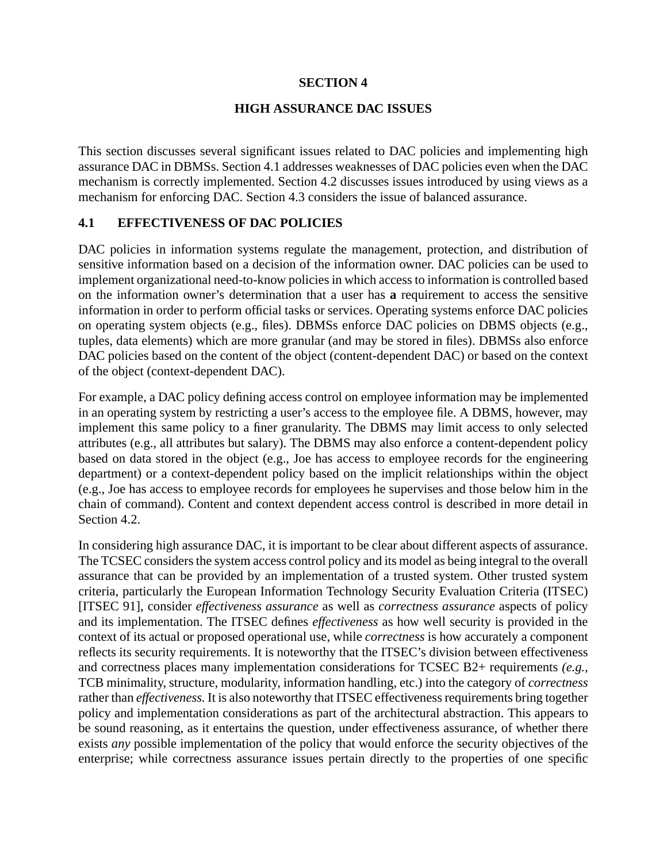#### **SECTION 4**

#### **HIGH ASSURANCE DAC ISSUES**

This section discusses several significant issues related to DAC policies and implementing high assurance DAC in DBMSs. Section 4.1 addresses weaknesses of DAC policies even when the DAC mechanism is correctly implemented. Section 4.2 discusses issues introduced by using views as a mechanism for enforcing DAC. Section 4.3 considers the issue of balanced assurance.

### **4.1 EFFECTIVENESS OF DAC POLICIES**

DAC policies in information systems regulate the management, protection, and distribution of sensitive information based on a decision of the information owner. DAC policies can be used to implement organizational need-to-know policies in which access to information is controlled based on the information owner's determination that a user has **a** requirement to access the sensitive information in order to perform official tasks or services. Operating systems enforce DAC policies on operating system objects (e.g., files). DBMSs enforce DAC policies on DBMS objects (e.g., tuples, data elements) which are more granular (and may be stored in files). DBMSs also enforce DAC policies based on the content of the object (content-dependent DAC) or based on the context of the object (context-dependent DAC).

For example, a DAC policy defining access control on employee information may be implemented in an operating system by restricting a user's access to the employee file. A DBMS, however, may implement this same policy to a finer granularity. The DBMS may limit access to only selected attributes (e.g., all attributes but salary). The DBMS may also enforce a content-dependent policy based on data stored in the object (e.g., Joe has access to employee records for the engineering department) or a context-dependent policy based on the implicit relationships within the object (e.g., Joe has access to employee records for employees he supervises and those below him in the chain of command). Content and context dependent access control is described in more detail in Section 4.2.

In considering high assurance DAC, it is important to be clear about different aspects of assurance. The TCSEC considers the system access control policy and its model as being integral to the overall assurance that can be provided by an implementation of a trusted system. Other trusted system criteria, particularly the European Information Technology Security Evaluation Criteria (ITSEC) [ITSEC 91], consider *effectiveness assurance* as well as *correctness assurance* aspects of policy and its implementation. The ITSEC defines *effectiveness* as how well security is provided in the context of its actual or proposed operational use, while *correctness* is how accurately a component reflects its security requirements. It is noteworthy that the ITSEC's division between effectiveness and correctness places many implementation considerations for TCSEC B2+ requirements *(e.g.,* TCB minimality, structure, modularity, information handling, etc.) into the category of *correctness* rather than *effectiveness.* It is also noteworthy that ITSEC effectiveness requirements bring together policy and implementation considerations as part of the architectural abstraction. This appears to be sound reasoning, as it entertains the question, under effectiveness assurance, of whether there exists *any* possible implementation of the policy that would enforce the security objectives of the enterprise; while correctness assurance issues pertain directly to the properties of one specific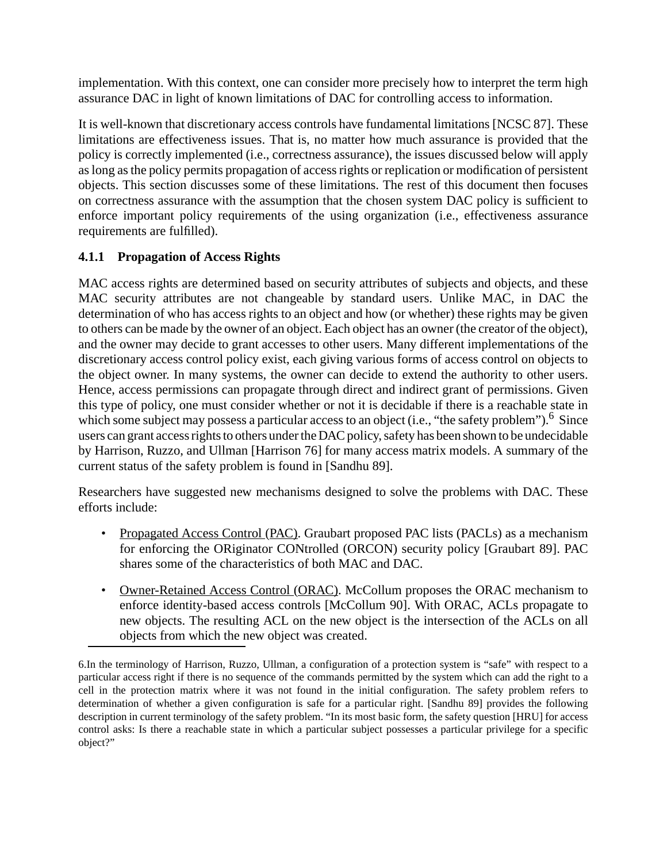implementation. With this context, one can consider more precisely how to interpret the term high assurance DAC in light of known limitations of DAC for controlling access to information.

It is well-known that discretionary access controls have fundamental limitations [NCSC 87]. These limitations are effectiveness issues. That is, no matter how much assurance is provided that the policy is correctly implemented (i.e., correctness assurance), the issues discussed below will apply as long as the policy permits propagation of access rights or replication or modification of persistent objects. This section discusses some of these limitations. The rest of this document then focuses on correctness assurance with the assumption that the chosen system DAC policy is sufficient to enforce important policy requirements of the using organization (i.e., effectiveness assurance requirements are fulfilled).

## **4.1.1 Propagation of Access Rights**

MAC access rights are determined based on security attributes of subjects and objects, and these MAC security attributes are not changeable by standard users. Unlike MAC, in DAC the determination of who has access rights to an object and how (or whether) these rights may be given to others can be made by the owner of an object. Each object has an owner (the creator of the object), and the owner may decide to grant accesses to other users. Many different implementations of the discretionary access control policy exist, each giving various forms of access control on objects to the object owner. In many systems, the owner can decide to extend the authority to other users. Hence, access permissions can propagate through direct and indirect grant of permissions. Given this type of policy, one must consider whether or not it is decidable if there is a reachable state in which some subject may possess a particular access to an object (i.e., "the safety problem").<sup>6</sup> Since users can grant access rights to others under the DAC policy, safety has been shown to be undecidable by Harrison, Ruzzo, and Ullman [Harrison 76] for many access matrix models. A summary of the current status of the safety problem is found in [Sandhu 89].

Researchers have suggested new mechanisms designed to solve the problems with DAC. These efforts include:

- Propagated Access Control (PAC). Graubart proposed PAC lists (PACLs) as a mechanism for enforcing the ORiginator CONtrolled (ORCON) security policy [Graubart 89]. PAC shares some of the characteristics of both MAC and DAC.
- Owner-Retained Access Control (ORAC). McCollum proposes the ORAC mechanism to enforce identity-based access controls [McCollum 90]. With ORAC, ACLs propagate to new objects. The resulting ACL on the new object is the intersection of the ACLs on all objects from which the new object was created.

<sup>6.</sup>In the terminology of Harrison, Ruzzo, Ullman, a configuration of a protection system is "safe" with respect to a particular access right if there is no sequence of the commands permitted by the system which can add the right to a cell in the protection matrix where it was not found in the initial configuration. The safety problem refers to determination of whether a given configuration is safe for a particular right. [Sandhu 89] provides the following description in current terminology of the safety problem. "In its most basic form, the safety question [HRU] for access control asks: Is there a reachable state in which a particular subject possesses a particular privilege for a specific object?"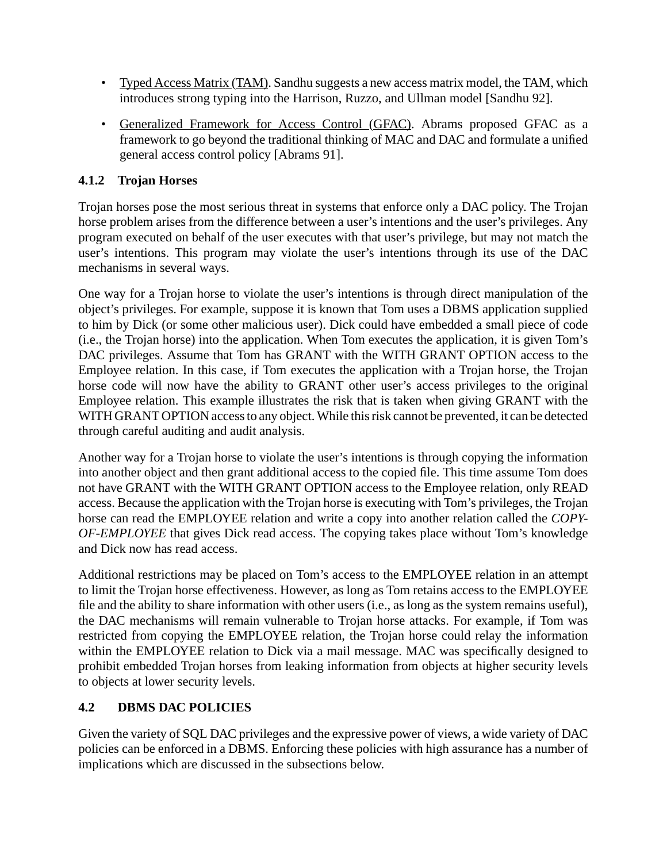- Typed Access Matrix (TAM). Sandhu suggests a new access matrix model, the TAM, which introduces strong typing into the Harrison, Ruzzo, and Ullman model [Sandhu 92].
- Generalized Framework for Access Control (GFAC). Abrams proposed GFAC as a framework to go beyond the traditional thinking of MAC and DAC and formulate a unified general access control policy [Abrams 91].

## **4.1.2 Trojan Horses**

Trojan horses pose the most serious threat in systems that enforce only a DAC policy. The Trojan horse problem arises from the difference between a user's intentions and the user's privileges. Any program executed on behalf of the user executes with that user's privilege, but may not match the user's intentions. This program may violate the user's intentions through its use of the DAC mechanisms in several ways.

One way for a Trojan horse to violate the user's intentions is through direct manipulation of the object's privileges. For example, suppose it is known that Tom uses a DBMS application supplied to him by Dick (or some other malicious user). Dick could have embedded a small piece of code (i.e., the Trojan horse) into the application. When Tom executes the application, it is given Tom's DAC privileges. Assume that Tom has GRANT with the WITH GRANT OPTION access to the Employee relation. In this case, if Tom executes the application with a Trojan horse, the Trojan horse code will now have the ability to GRANT other user's access privileges to the original Employee relation. This example illustrates the risk that is taken when giving GRANT with the WITH GRANT OPTION access to any object. While this risk cannot be prevented, it can be detected through careful auditing and audit analysis.

Another way for a Trojan horse to violate the user's intentions is through copying the information into another object and then grant additional access to the copied file. This time assume Tom does not have GRANT with the WITH GRANT OPTION access to the Employee relation, only READ access. Because the application with the Trojan horse is executing with Tom's privileges, the Trojan horse can read the EMPLOYEE relation and write a copy into another relation called the *COPY-OF-EMPLOYEE* that gives Dick read access. The copying takes place without Tom's knowledge and Dick now has read access.

Additional restrictions may be placed on Tom's access to the EMPLOYEE relation in an attempt to limit the Trojan horse effectiveness. However, as long as Tom retains access to the EMPLOYEE file and the ability to share information with other users (i.e., as long as the system remains useful), the DAC mechanisms will remain vulnerable to Trojan horse attacks. For example, if Tom was restricted from copying the EMPLOYEE relation, the Trojan horse could relay the information within the EMPLOYEE relation to Dick via a mail message. MAC was specifically designed to prohibit embedded Trojan horses from leaking information from objects at higher security levels to objects at lower security levels.

### **4.2 DBMS DAC POLICIES**

Given the variety of SQL DAC privileges and the expressive power of views, a wide variety of DAC policies can be enforced in a DBMS. Enforcing these policies with high assurance has a number of implications which are discussed in the subsections below.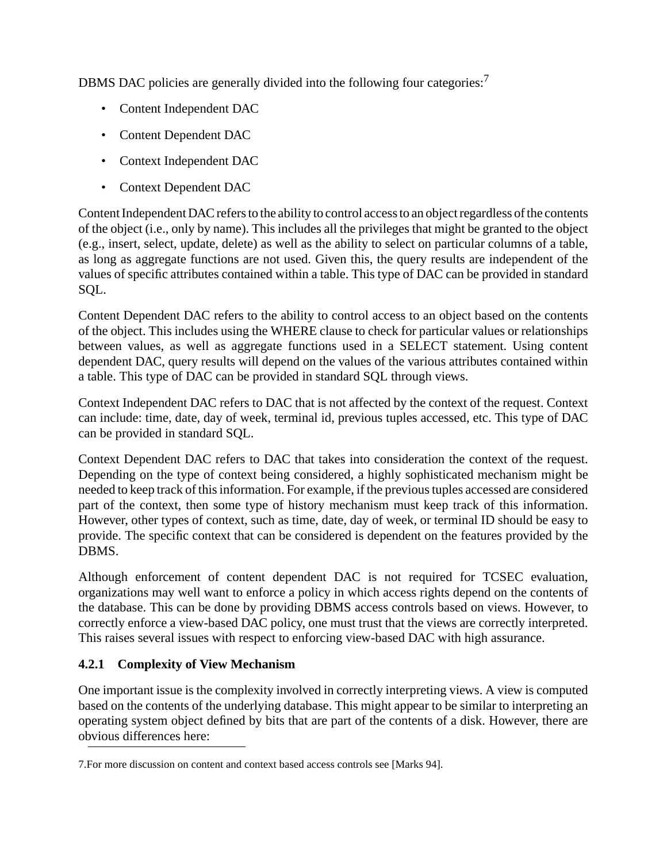DBMS DAC policies are generally divided into the following four categories:<sup>7</sup>

- Content Independent DAC
- Content Dependent DAC
- Context Independent DAC
- Context Dependent DAC

Content Independent DAC refers to the ability to control access to an object regardless of the contents of the object (i.e., only by name). This includes all the privileges that might be granted to the object (e.g., insert, select, update, delete) as well as the ability to select on particular columns of a table, as long as aggregate functions are not used. Given this, the query results are independent of the values of specific attributes contained within a table. This type of DAC can be provided in standard SQL.

Content Dependent DAC refers to the ability to control access to an object based on the contents of the object. This includes using the WHERE clause to check for particular values or relationships between values, as well as aggregate functions used in a SELECT statement. Using content dependent DAC, query results will depend on the values of the various attributes contained within a table. This type of DAC can be provided in standard SQL through views.

Context Independent DAC refers to DAC that is not affected by the context of the request. Context can include: time, date, day of week, terminal id, previous tuples accessed, etc. This type of DAC can be provided in standard SQL.

Context Dependent DAC refers to DAC that takes into consideration the context of the request. Depending on the type of context being considered, a highly sophisticated mechanism might be needed to keep track of this information. For example, if the previous tuples accessed are considered part of the context, then some type of history mechanism must keep track of this information. However, other types of context, such as time, date, day of week, or terminal ID should be easy to provide. The specific context that can be considered is dependent on the features provided by the DBMS.

Although enforcement of content dependent DAC is not required for TCSEC evaluation, organizations may well want to enforce a policy in which access rights depend on the contents of the database. This can be done by providing DBMS access controls based on views. However, to correctly enforce a view-based DAC policy, one must trust that the views are correctly interpreted. This raises several issues with respect to enforcing view-based DAC with high assurance.

## **4.2.1 Complexity of View Mechanism**

One important issue is the complexity involved in correctly interpreting views. A view is computed based on the contents of the underlying database. This might appear to be similar to interpreting an operating system object defined by bits that are part of the contents of a disk. However, there are obvious differences here:

<sup>7.</sup>For more discussion on content and context based access controls see [Marks 94].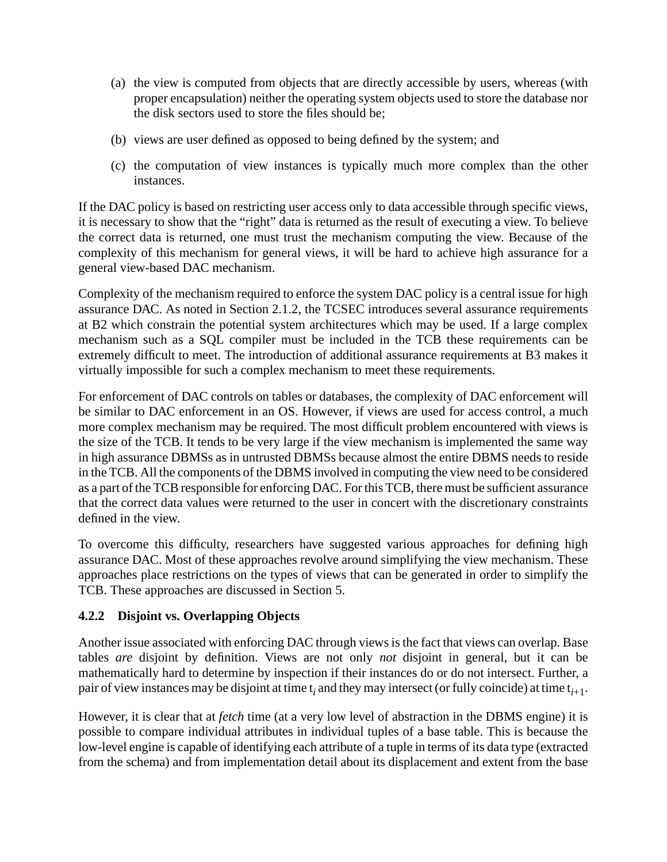- (a) the view is computed from objects that are directly accessible by users, whereas (with proper encapsulation) neither the operating system objects used to store the database nor the disk sectors used to store the files should be;
- (b) views are user defined as opposed to being defined by the system; and
- (c) the computation of view instances is typically much more complex than the other instances.

If the DAC policy is based on restricting user access only to data accessible through specific views, it is necessary to show that the "right" data is returned as the result of executing a view. To believe the correct data is returned, one must trust the mechanism computing the view. Because of the complexity of this mechanism for general views, it will be hard to achieve high assurance for a general view-based DAC mechanism.

Complexity of the mechanism required to enforce the system DAC policy is a central issue for high assurance DAC. As noted in Section 2.1.2, the TCSEC introduces several assurance requirements at B2 which constrain the potential system architectures which may be used. If a large complex mechanism such as a SQL compiler must be included in the TCB these requirements can be extremely difficult to meet. The introduction of additional assurance requirements at B3 makes it virtually impossible for such a complex mechanism to meet these requirements.

For enforcement of DAC controls on tables or databases, the complexity of DAC enforcement will be similar to DAC enforcement in an OS. However, if views are used for access control, a much more complex mechanism may be required. The most difficult problem encountered with views is the size of the TCB. It tends to be very large if the view mechanism is implemented the same way in high assurance DBMSs as in untrusted DBMSs because almost the entire DBMS needs to reside in the TCB. All the components of the DBMS involved in computing the view need to be considered as a part of the TCB responsible for enforcing DAC. For this TCB, there must be sufficient assurance that the correct data values were returned to the user in concert with the discretionary constraints defined in the view.

To overcome this difficulty, researchers have suggested various approaches for defining high assurance DAC. Most of these approaches revolve around simplifying the view mechanism. These approaches place restrictions on the types of views that can be generated in order to simplify the TCB. These approaches are discussed in Section 5.

### **4.2.2 Disjoint vs. Overlapping Objects**

Another issue associated with enforcing DAC through views is the fact that views can overlap. Base tables *are* disjoint by definition. Views are not only *not* disjoint in general, but it can be mathematically hard to determine by inspection if their instances do or do not intersect. Further, a pair of view instances may be disjoint at time t*<sup>i</sup>* and they may intersect (or fully coincide) at time t*i*+1.

However, it is clear that at *fetch* time (at a very low level of abstraction in the DBMS engine) it is possible to compare individual attributes in individual tuples of a base table. This is because the low-level engine is capable of identifying each attribute of a tuple in terms of its data type (extracted from the schema) and from implementation detail about its displacement and extent from the base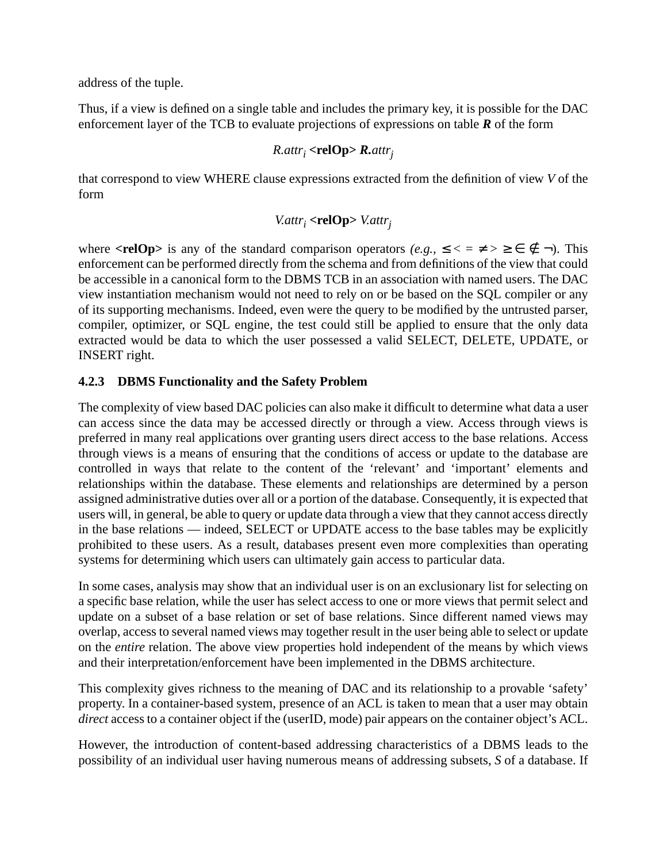address of the tuple.

Thus, if a view is defined on a single table and includes the primary key, it is possible for the DAC enforcement layer of the TCB to evaluate projections of expressions on table *R* of the form

## *R.attri* **<relOp>** *R.attrj*

that correspond to view WHERE clause expressions extracted from the definition of view *V* of the form

## $V. \text{attr}_i$  **<relOp>**  $V. \text{attr}_i$

where  $\langle \text{relOp}\rangle$  is any of the standard comparison operators  $(e.g., \leq \langle \pm \rangle \geq \epsilon \notin \neg)$ . This enforcement can be performed directly from the schema and from definitions of the view that could be accessible in a canonical form to the DBMS TCB in an association with named users. The DAC view instantiation mechanism would not need to rely on or be based on the SQL compiler or any of its supporting mechanisms. Indeed, even were the query to be modified by the untrusted parser, compiler, optimizer, or SQL engine, the test could still be applied to ensure that the only data extracted would be data to which the user possessed a valid SELECT, DELETE, UPDATE, or INSERT right.

## **4.2.3 DBMS Functionality and the Safety Problem**

The complexity of view based DAC policies can also make it difficult to determine what data a user can access since the data may be accessed directly or through a view. Access through views is preferred in many real applications over granting users direct access to the base relations. Access through views is a means of ensuring that the conditions of access or update to the database are controlled in ways that relate to the content of the 'relevant' and 'important' elements and relationships within the database. These elements and relationships are determined by a person assigned administrative duties over all or a portion of the database. Consequently, it is expected that users will, in general, be able to query or update data through a view that they cannot access directly in the base relations — indeed, SELECT or UPDATE access to the base tables may be explicitly prohibited to these users. As a result, databases present even more complexities than operating systems for determining which users can ultimately gain access to particular data.

In some cases, analysis may show that an individual user is on an exclusionary list for selecting on a specific base relation, while the user has select access to one or more views that permit select and update on a subset of a base relation or set of base relations. Since different named views may overlap, access to several named views may together result in the user being able to select or update on the *entire* relation. The above view properties hold independent of the means by which views and their interpretation/enforcement have been implemented in the DBMS architecture.

This complexity gives richness to the meaning of DAC and its relationship to a provable 'safety' property. In a container-based system, presence of an ACL is taken to mean that a user may obtain *direct* access to a container object if the (userID, mode) pair appears on the container object's ACL.

However, the introduction of content-based addressing characteristics of a DBMS leads to the possibility of an individual user having numerous means of addressing subsets, *S* of a database. If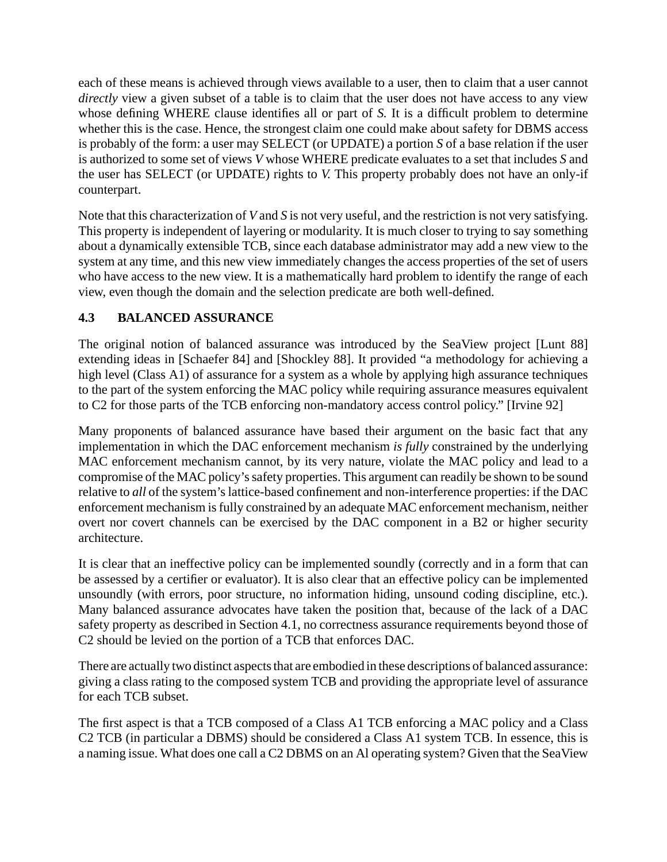each of these means is achieved through views available to a user, then to claim that a user cannot *directly* view a given subset of a table is to claim that the user does not have access to any view whose defining WHERE clause identifies all or part of *S.* It is a difficult problem to determine whether this is the case. Hence, the strongest claim one could make about safety for DBMS access is probably of the form: a user may SELECT (or UPDATE) a portion *S* of a base relation if the user is authorized to some set of views *V* whose WHERE predicate evaluates to a set that includes *S* and the user has SELECT (or UPDATE) rights to *V.* This property probably does not have an only-if counterpart.

Note that this characterization of *V* and *S* is not very useful, and the restriction is not very satisfying. This property is independent of layering or modularity. It is much closer to trying to say something about a dynamically extensible TCB, since each database administrator may add a new view to the system at any time, and this new view immediately changes the access properties of the set of users who have access to the new view. It is a mathematically hard problem to identify the range of each view, even though the domain and the selection predicate are both well-defined.

## **4.3 BALANCED ASSURANCE**

The original notion of balanced assurance was introduced by the SeaView project [Lunt 88] extending ideas in [Schaefer 84] and [Shockley 88]. It provided "a methodology for achieving a high level (Class A1) of assurance for a system as a whole by applying high assurance techniques to the part of the system enforcing the MAC policy while requiring assurance measures equivalent to C2 for those parts of the TCB enforcing non-mandatory access control policy." [Irvine 92]

Many proponents of balanced assurance have based their argument on the basic fact that any implementation in which the DAC enforcement mechanism *is fully* constrained by the underlying MAC enforcement mechanism cannot, by its very nature, violate the MAC policy and lead to a compromise of the MAC policy's safety properties. This argument can readily be shown to be sound relative to *all* of the system's lattice-based confinement and non-interference properties: if the DAC enforcement mechanism is fully constrained by an adequate MAC enforcement mechanism, neither overt nor covert channels can be exercised by the DAC component in a B2 or higher security architecture.

It is clear that an ineffective policy can be implemented soundly (correctly and in a form that can be assessed by a certifier or evaluator). It is also clear that an effective policy can be implemented unsoundly (with errors, poor structure, no information hiding, unsound coding discipline, etc.). Many balanced assurance advocates have taken the position that, because of the lack of a DAC safety property as described in Section 4.1, no correctness assurance requirements beyond those of C2 should be levied on the portion of a TCB that enforces DAC.

There are actually two distinct aspects that are embodied in these descriptions of balanced assurance: giving a class rating to the composed system TCB and providing the appropriate level of assurance for each TCB subset.

The first aspect is that a TCB composed of a Class A1 TCB enforcing a MAC policy and a Class C2 TCB (in particular a DBMS) should be considered a Class A1 system TCB. In essence, this is a naming issue. What does one call a C2 DBMS on an Al operating system? Given that the SeaView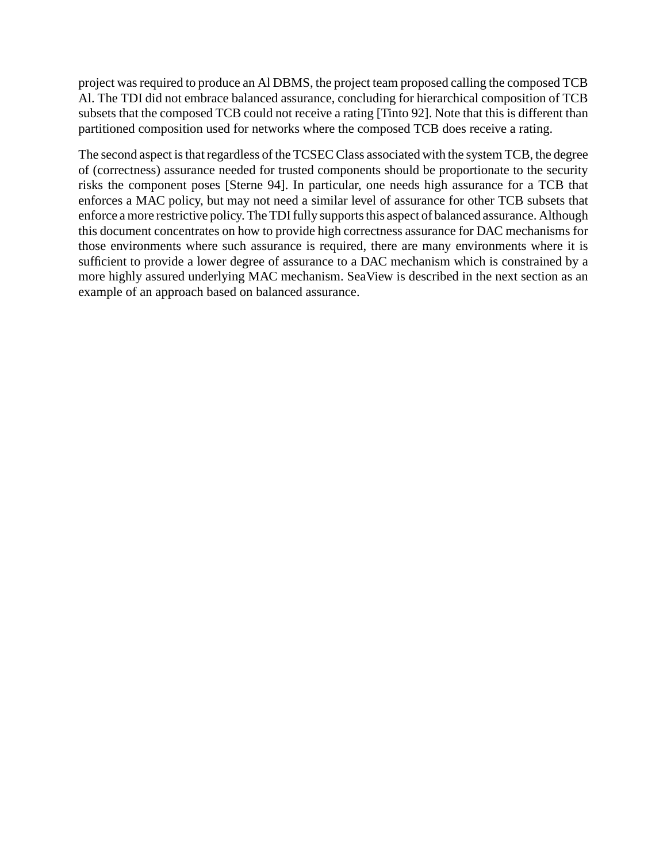project was required to produce an Al DBMS, the project team proposed calling the composed TCB Al. The TDI did not embrace balanced assurance, concluding for hierarchical composition of TCB subsets that the composed TCB could not receive a rating [Tinto 92]. Note that this is different than partitioned composition used for networks where the composed TCB does receive a rating.

The second aspect is that regardless of the TCSEC Class associated with the system TCB, the degree of (correctness) assurance needed for trusted components should be proportionate to the security risks the component poses [Sterne 94]. In particular, one needs high assurance for a TCB that enforces a MAC policy, but may not need a similar level of assurance for other TCB subsets that enforce a more restrictive policy. The TDI fully supports this aspect of balanced assurance. Although this document concentrates on how to provide high correctness assurance for DAC mechanisms for those environments where such assurance is required, there are many environments where it is sufficient to provide a lower degree of assurance to a DAC mechanism which is constrained by a more highly assured underlying MAC mechanism. SeaView is described in the next section as an example of an approach based on balanced assurance.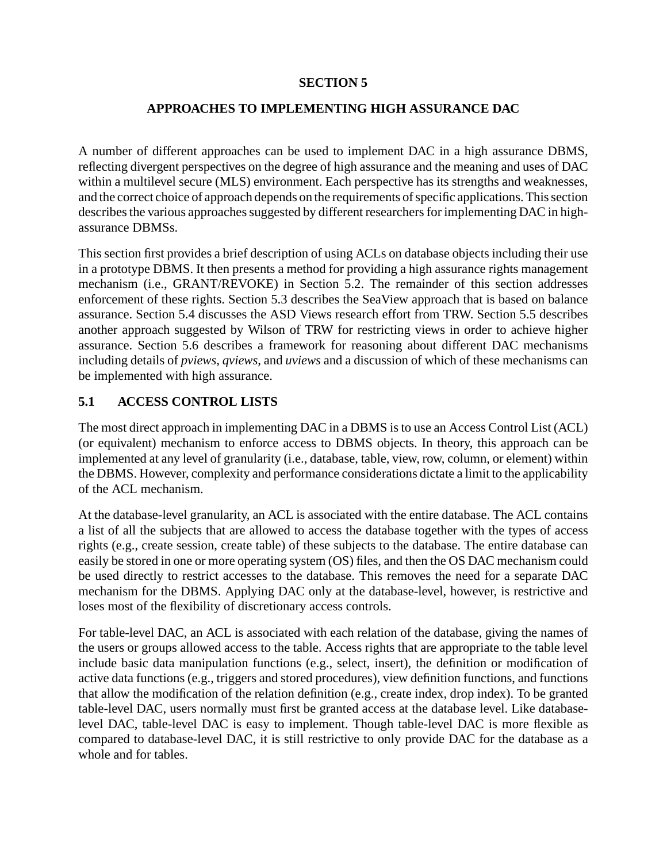#### **SECTION 5**

### **APPROACHES TO IMPLEMENTING HIGH ASSURANCE DAC**

A number of different approaches can be used to implement DAC in a high assurance DBMS, reflecting divergent perspectives on the degree of high assurance and the meaning and uses of DAC within a multilevel secure (MLS) environment. Each perspective has its strengths and weaknesses, and the correct choice of approach depends on the requirements of specific applications. This section describes the various approaches suggested by different researchers for implementing DAC in highassurance DBMSs.

This section first provides a brief description of using ACLs on database objects including their use in a prototype DBMS. It then presents a method for providing a high assurance rights management mechanism (i.e., GRANT/REVOKE) in Section 5.2. The remainder of this section addresses enforcement of these rights. Section 5.3 describes the SeaView approach that is based on balance assurance. Section 5.4 discusses the ASD Views research effort from TRW. Section 5.5 describes another approach suggested by Wilson of TRW for restricting views in order to achieve higher assurance. Section 5.6 describes a framework for reasoning about different DAC mechanisms including details of *pviews, qviews,* and *uviews* and a discussion of which of these mechanisms can be implemented with high assurance.

### **5.1 ACCESS CONTROL LISTS**

The most direct approach in implementing DAC in a DBMS is to use an Access Control List (ACL) (or equivalent) mechanism to enforce access to DBMS objects. In theory, this approach can be implemented at any level of granularity (i.e., database, table, view, row, column, or element) within the DBMS. However, complexity and performance considerations dictate a limit to the applicability of the ACL mechanism.

At the database-level granularity, an ACL is associated with the entire database. The ACL contains a list of all the subjects that are allowed to access the database together with the types of access rights (e.g., create session, create table) of these subjects to the database. The entire database can easily be stored in one or more operating system (OS) files, and then the OS DAC mechanism could be used directly to restrict accesses to the database. This removes the need for a separate DAC mechanism for the DBMS. Applying DAC only at the database-level, however, is restrictive and loses most of the flexibility of discretionary access controls.

For table-level DAC, an ACL is associated with each relation of the database, giving the names of the users or groups allowed access to the table. Access rights that are appropriate to the table level include basic data manipulation functions (e.g., select, insert), the definition or modification of active data functions (e.g., triggers and stored procedures), view definition functions, and functions that allow the modification of the relation definition (e.g., create index, drop index). To be granted table-level DAC, users normally must first be granted access at the database level. Like databaselevel DAC, table-level DAC is easy to implement. Though table-level DAC is more flexible as compared to database-level DAC, it is still restrictive to only provide DAC for the database as a whole and for tables.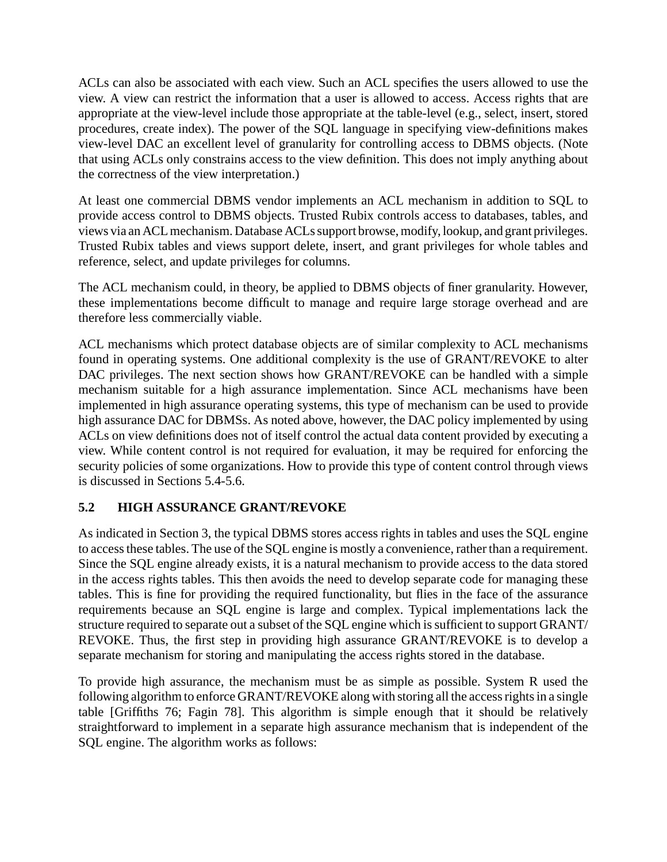ACLs can also be associated with each view. Such an ACL specifies the users allowed to use the view. A view can restrict the information that a user is allowed to access. Access rights that are appropriate at the view-level include those appropriate at the table-level (e.g., select, insert, stored procedures, create index). The power of the SQL language in specifying view-definitions makes view-level DAC an excellent level of granularity for controlling access to DBMS objects. (Note that using ACLs only constrains access to the view definition. This does not imply anything about the correctness of the view interpretation.)

At least one commercial DBMS vendor implements an ACL mechanism in addition to SQL to provide access control to DBMS objects. Trusted Rubix controls access to databases, tables, and views via an ACL mechanism. Database ACLs support browse, modify, lookup, and grant privileges. Trusted Rubix tables and views support delete, insert, and grant privileges for whole tables and reference, select, and update privileges for columns.

The ACL mechanism could, in theory, be applied to DBMS objects of finer granularity. However, these implementations become difficult to manage and require large storage overhead and are therefore less commercially viable.

ACL mechanisms which protect database objects are of similar complexity to ACL mechanisms found in operating systems. One additional complexity is the use of GRANT/REVOKE to alter DAC privileges. The next section shows how GRANT/REVOKE can be handled with a simple mechanism suitable for a high assurance implementation. Since ACL mechanisms have been implemented in high assurance operating systems, this type of mechanism can be used to provide high assurance DAC for DBMSs. As noted above, however, the DAC policy implemented by using ACLs on view definitions does not of itself control the actual data content provided by executing a view. While content control is not required for evaluation, it may be required for enforcing the security policies of some organizations. How to provide this type of content control through views is discussed in Sections 5.4-5.6.

### **5.2 HIGH ASSURANCE GRANT/REVOKE**

As indicated in Section 3, the typical DBMS stores access rights in tables and uses the SQL engine to access these tables. The use of the SQL engine is mostly a convenience, rather than a requirement. Since the SQL engine already exists, it is a natural mechanism to provide access to the data stored in the access rights tables. This then avoids the need to develop separate code for managing these tables. This is fine for providing the required functionality, but flies in the face of the assurance requirements because an SQL engine is large and complex. Typical implementations lack the structure required to separate out a subset of the SQL engine which is sufficient to support GRANT/ REVOKE. Thus, the first step in providing high assurance GRANT/REVOKE is to develop a separate mechanism for storing and manipulating the access rights stored in the database.

To provide high assurance, the mechanism must be as simple as possible. System R used the following algorithm to enforce GRANT/REVOKE along with storing all the access rights in a single table [Griffiths 76; Fagin 78]. This algorithm is simple enough that it should be relatively straightforward to implement in a separate high assurance mechanism that is independent of the SQL engine. The algorithm works as follows: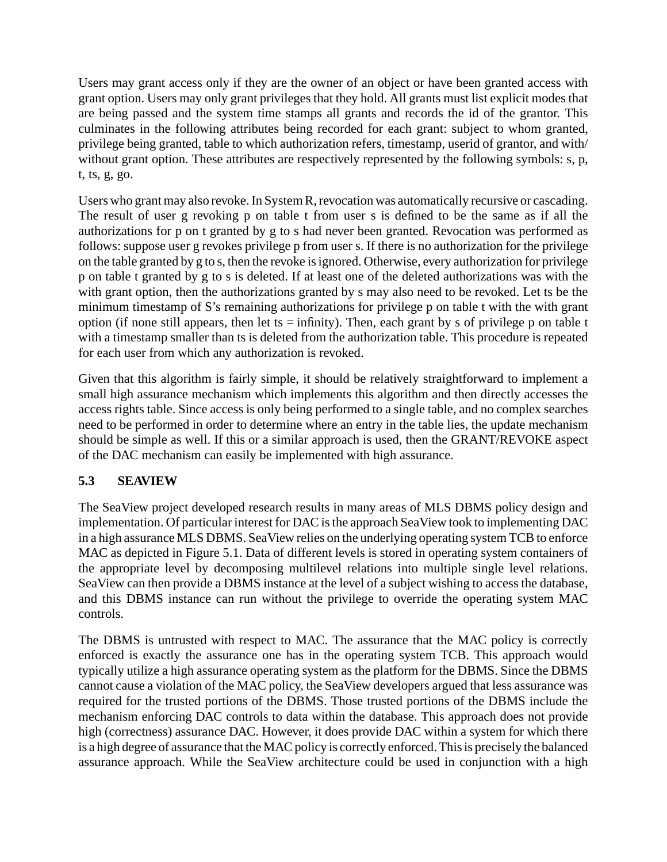Users may grant access only if they are the owner of an object or have been granted access with grant option. Users may only grant privileges that they hold. All grants must list explicit modes that are being passed and the system time stamps all grants and records the id of the grantor. This culminates in the following attributes being recorded for each grant: subject to whom granted, privilege being granted, table to which authorization refers, timestamp, userid of grantor, and with/ without grant option. These attributes are respectively represented by the following symbols: s, p, t, ts, g, go.

Users who grant may also revoke. In System R, revocation was automatically recursive or cascading. The result of user g revoking p on table t from user s is defined to be the same as if all the authorizations for p on t granted by g to s had never been granted. Revocation was performed as follows: suppose user g revokes privilege p from user s. If there is no authorization for the privilege on the table granted by g to s, then the revoke is ignored. Otherwise, every authorization for privilege p on table t granted by g to s is deleted. If at least one of the deleted authorizations was with the with grant option, then the authorizations granted by s may also need to be revoked. Let ts be the minimum timestamp of S's remaining authorizations for privilege p on table t with the with grant option (if none still appears, then let ts = infinity). Then, each grant by s of privilege p on table t with a timestamp smaller than ts is deleted from the authorization table. This procedure is repeated for each user from which any authorization is revoked.

Given that this algorithm is fairly simple, it should be relatively straightforward to implement a small high assurance mechanism which implements this algorithm and then directly accesses the access rights table. Since access is only being performed to a single table, and no complex searches need to be performed in order to determine where an entry in the table lies, the update mechanism should be simple as well. If this or a similar approach is used, then the GRANT/REVOKE aspect of the DAC mechanism can easily be implemented with high assurance.

### **5.3 SEAVIEW**

The SeaView project developed research results in many areas of MLS DBMS policy design and implementation. Of particular interest for DAC is the approach SeaView took to implementing DAC in a high assurance MLS DBMS. SeaView relies on the underlying operating system TCB to enforce MAC as depicted in Figure 5.1. Data of different levels is stored in operating system containers of the appropriate level by decomposing multilevel relations into multiple single level relations. SeaView can then provide a DBMS instance at the level of a subject wishing to access the database, and this DBMS instance can run without the privilege to override the operating system MAC controls.

The DBMS is untrusted with respect to MAC. The assurance that the MAC policy is correctly enforced is exactly the assurance one has in the operating system TCB. This approach would typically utilize a high assurance operating system as the platform for the DBMS. Since the DBMS cannot cause a violation of the MAC policy, the SeaView developers argued that less assurance was required for the trusted portions of the DBMS. Those trusted portions of the DBMS include the mechanism enforcing DAC controls to data within the database. This approach does not provide high (correctness) assurance DAC. However, it does provide DAC within a system for which there is a high degree of assurance that the MAC policy is correctly enforced. This is precisely the balanced assurance approach. While the SeaView architecture could be used in conjunction with a high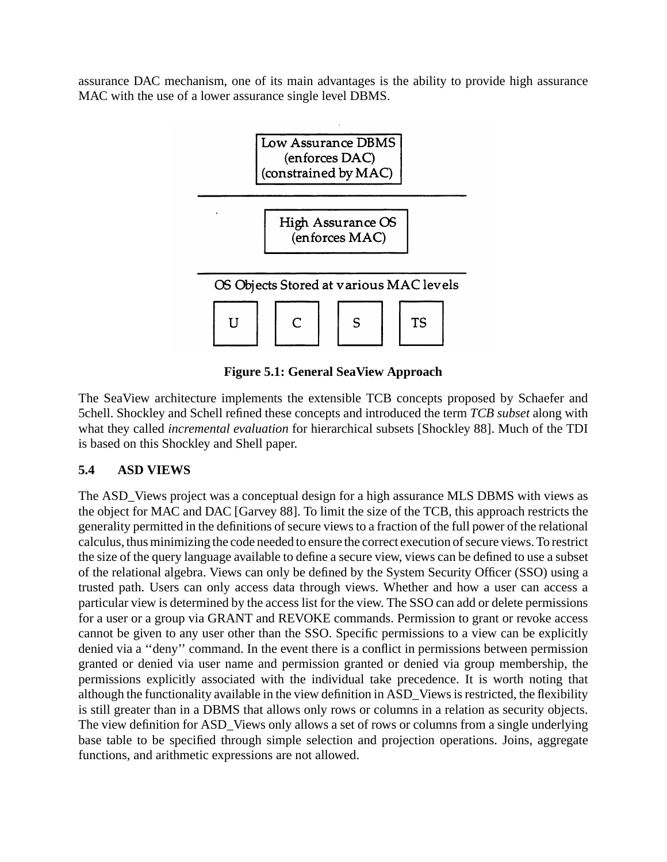assurance DAC mechanism, one of its main advantages is the ability to provide high assurance MAC with the use of a lower assurance single level DBMS.



# **Figure 5.1: General SeaView Approach**

The SeaView architecture implements the extensible TCB concepts proposed by Schaefer and 5chell. Shockley and Schell refined these concepts and introduced the term *TCB subset* along with what they called *incremental evaluation* for hierarchical subsets [Shockley 88]. Much of the TDI is based on this Shockley and Shell paper.

# **5.4 ASD VIEWS**

The ASD\_Views project was a conceptual design for a high assurance MLS DBMS with views as the object for MAC and DAC [Garvey 88]. To limit the size of the TCB, this approach restricts the generality permitted in the definitions of secure views to a fraction of the full power of the relational calculus, thus minimizing the code needed to ensure the correct execution of secure views. To restrict the size of the query language available to define a secure view, views can be defined to use a subset of the relational algebra. Views can only be defined by the System Security Officer (SSO) using a trusted path. Users can only access data through views. Whether and how a user can access a particular view is determined by the access list for the view. The SSO can add or delete permissions for a user or a group via GRANT and REVOKE commands. Permission to grant or revoke access cannot be given to any user other than the SSO. Specific permissions to a view can be explicitly denied via a ''deny'' command. In the event there is a conflict in permissions between permission granted or denied via user name and permission granted or denied via group membership, the permissions explicitly associated with the individual take precedence. It is worth noting that although the functionality available in the view definition in ASD\_Views is restricted, the flexibility is still greater than in a DBMS that allows only rows or columns in a relation as security objects. The view definition for ASD\_Views only allows a set of rows or columns from a single underlying base table to be specified through simple selection and projection operations. Joins, aggregate functions, and arithmetic expressions are not allowed.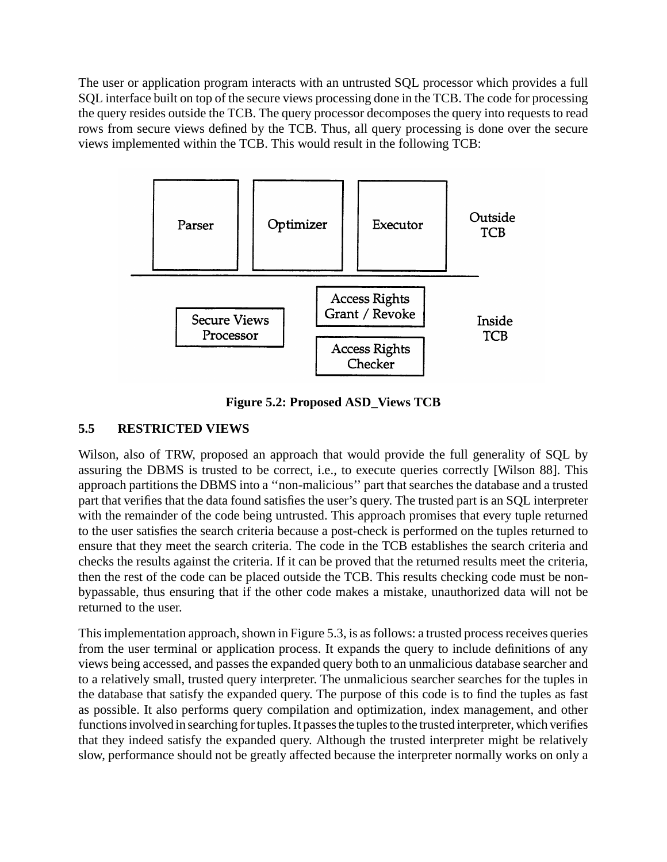The user or application program interacts with an untrusted SQL processor which provides a full SQL interface built on top of the secure views processing done in the TCB. The code for processing the query resides outside the TCB. The query processor decomposes the query into requests to read rows from secure views defined by the TCB. Thus, all query processing is done over the secure views implemented within the TCB. This would result in the following TCB:



**Figure 5.2: Proposed ASD\_Views TCB**

## **5.5 RESTRICTED VIEWS**

Wilson, also of TRW, proposed an approach that would provide the full generality of SQL by assuring the DBMS is trusted to be correct, i.e., to execute queries correctly [Wilson 88]. This approach partitions the DBMS into a ''non-malicious'' part that searches the database and a trusted part that verifies that the data found satisfies the user's query. The trusted part is an SQL interpreter with the remainder of the code being untrusted. This approach promises that every tuple returned to the user satisfies the search criteria because a post-check is performed on the tuples returned to ensure that they meet the search criteria. The code in the TCB establishes the search criteria and checks the results against the criteria. If it can be proved that the returned results meet the criteria, then the rest of the code can be placed outside the TCB. This results checking code must be nonbypassable, thus ensuring that if the other code makes a mistake, unauthorized data will not be returned to the user.

This implementation approach, shown in Figure 5.3, is as follows: a trusted process receives queries from the user terminal or application process. It expands the query to include definitions of any views being accessed, and passes the expanded query both to an unmalicious database searcher and to a relatively small, trusted query interpreter. The unmalicious searcher searches for the tuples in the database that satisfy the expanded query. The purpose of this code is to find the tuples as fast as possible. It also performs query compilation and optimization, index management, and other functions involved in searching for tuples. It passes the tuples to the trusted interpreter, which verifies that they indeed satisfy the expanded query. Although the trusted interpreter might be relatively slow, performance should not be greatly affected because the interpreter normally works on only a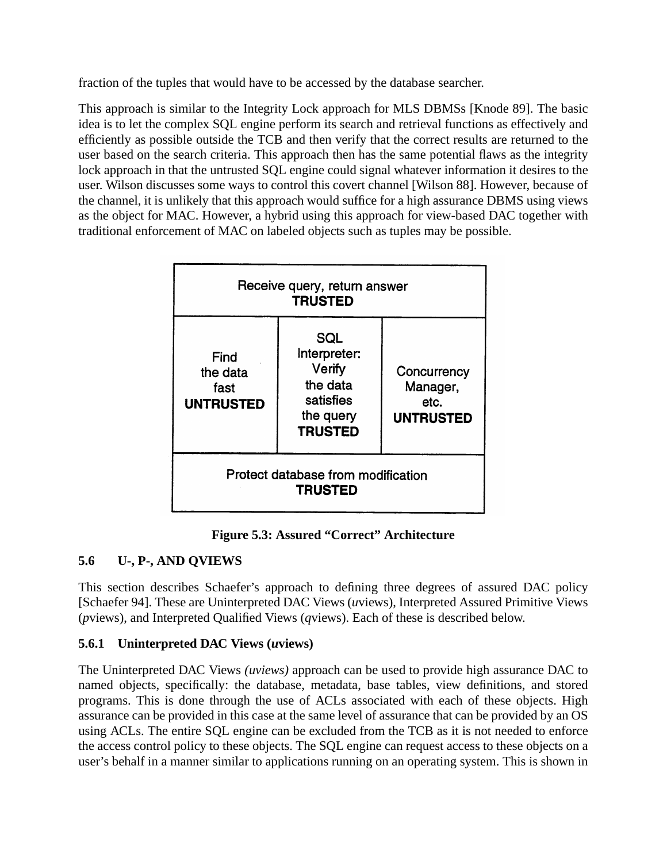fraction of the tuples that would have to be accessed by the database searcher.

This approach is similar to the Integrity Lock approach for MLS DBMSs [Knode 89]. The basic idea is to let the complex SQL engine perform its search and retrieval functions as effectively and efficiently as possible outside the TCB and then verify that the correct results are returned to the user based on the search criteria. This approach then has the same potential flaws as the integrity lock approach in that the untrusted SQL engine could signal whatever information it desires to the user. Wilson discusses some ways to control this covert channel [Wilson 88]. However, because of the channel, it is unlikely that this approach would suffice for a high assurance DBMS using views as the object for MAC. However, a hybrid using this approach for view-based DAC together with traditional enforcement of MAC on labeled objects such as tuples may be possible.



**Figure 5.3: Assured "Correct" Architecture**

## **5.6 U-, P-, AND QVIEWS**

This section describes Schaefer's approach to defining three degrees of assured DAC policy [Schaefer 94]. These are Uninterpreted DAC Views (*u*views), Interpreted Assured Primitive Views (*p*views), and Interpreted Qualified Views (*q*views). Each of these is described below.

## **5.6.1 Uninterpreted DAC Views (***u***views)**

The Uninterpreted DAC Views *(uviews)* approach can be used to provide high assurance DAC to named objects, specifically: the database, metadata, base tables, view definitions, and stored programs. This is done through the use of ACLs associated with each of these objects. High assurance can be provided in this case at the same level of assurance that can be provided by an OS using ACLs. The entire SQL engine can be excluded from the TCB as it is not needed to enforce the access control policy to these objects. The SQL engine can request access to these objects on a user's behalf in a manner similar to applications running on an operating system. This is shown in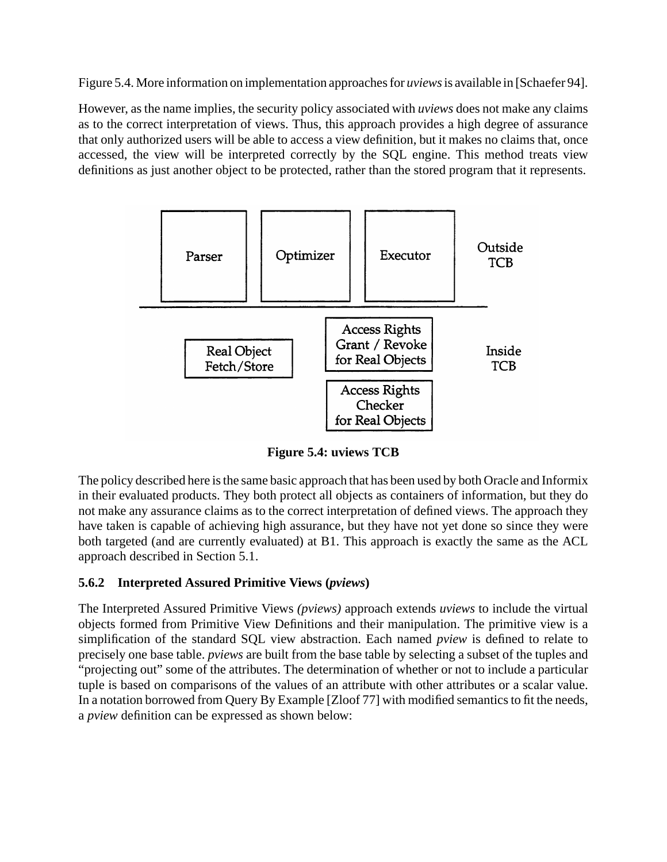Figure 5.4. More information on implementation approaches for *uviews*is available in [Schaefer 94].

However, as the name implies, the security policy associated with *uviews* does not make any claims as to the correct interpretation of views. Thus, this approach provides a high degree of assurance that only authorized users will be able to access a view definition, but it makes no claims that, once accessed, the view will be interpreted correctly by the SQL engine. This method treats view definitions as just another object to be protected, rather than the stored program that it represents.



**Figure 5.4: uviews TCB**

The policy described here is the same basic approach that has been used by both Oracle and Informix in their evaluated products. They both protect all objects as containers of information, but they do not make any assurance claims as to the correct interpretation of defined views. The approach they have taken is capable of achieving high assurance, but they have not yet done so since they were both targeted (and are currently evaluated) at B1. This approach is exactly the same as the ACL approach described in Section 5.1.

## **5.6.2 Interpreted Assured Primitive Views (***pviews***)**

The Interpreted Assured Primitive Views *(pviews)* approach extends *uviews* to include the virtual objects formed from Primitive View Definitions and their manipulation. The primitive view is a simplification of the standard SQL view abstraction. Each named *pview* is defined to relate to precisely one base table. *pviews* are built from the base table by selecting a subset of the tuples and "projecting out" some of the attributes. The determination of whether or not to include a particular tuple is based on comparisons of the values of an attribute with other attributes or a scalar value. In a notation borrowed from Query By Example [Zloof 77] with modified semantics to fit the needs, a *pview* definition can be expressed as shown below: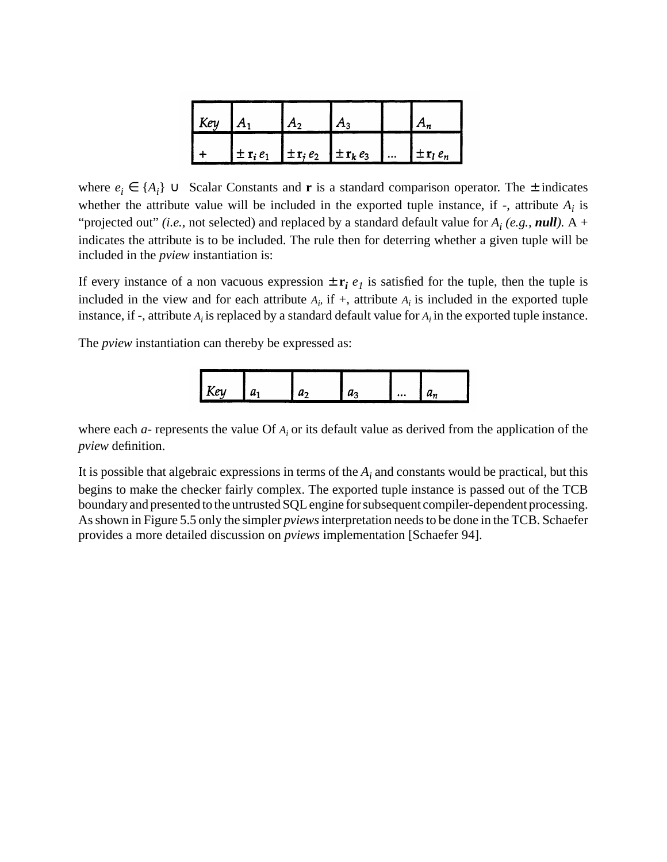| $\mathsf{K}$ ey | $^{\mathsf{T}}A_1$ |                                                                      |                                    |
|-----------------|--------------------|----------------------------------------------------------------------|------------------------------------|
|                 |                    | $\pm \mathbf{r}_i e_1$ $\pm \mathbf{r}_i e_2$ $\pm \mathbf{r}_k e_3$ | $\vert \pm \mathbf{r}_l e_n \vert$ |

where  $e_i$  ∈  $\{A_i\}$  ∪ Scalar Constants and **r** is a standard comparison operator. The  $\pm$  indicates whether the attribute value will be included in the exported tuple instance, if  $-$ , attribute  $A_i$  is "projected out" *(i.e.,* not selected) and replaced by a standard default value for  $A_i$  *(e.g., null)*. A + indicates the attribute is to be included. The rule then for deterring whether a given tuple will be included in the *pview* instantiation is:

If every instance of a non vacuous expression  $\pm \mathbf{r}_i e_l$  is satisfied for the tuple, then the tuple is included in the view and for each attribute  $A_i$  if  $+$ , attribute  $A_i$  is included in the exported tuple instance, if -, attribute *Ai* is replaced by a standard default value for *Ai* in the exported tuple instance.

The *pview* instantiation can thereby be expressed as:



where each *a-* represents the value Of *Ai* or its default value as derived from the application of the *pview* definition.

It is possible that algebraic expressions in terms of the  $A_i$  and constants would be practical, but this begins to make the checker fairly complex. The exported tuple instance is passed out of the TCB boundary and presented to the untrusted SQL engine for subsequent compiler-dependent processing. As shown in Figure 5.5 only the simpler *pviews*interpretation needs to be done in the TCB. Schaefer provides a more detailed discussion on *pviews* implementation [Schaefer 94].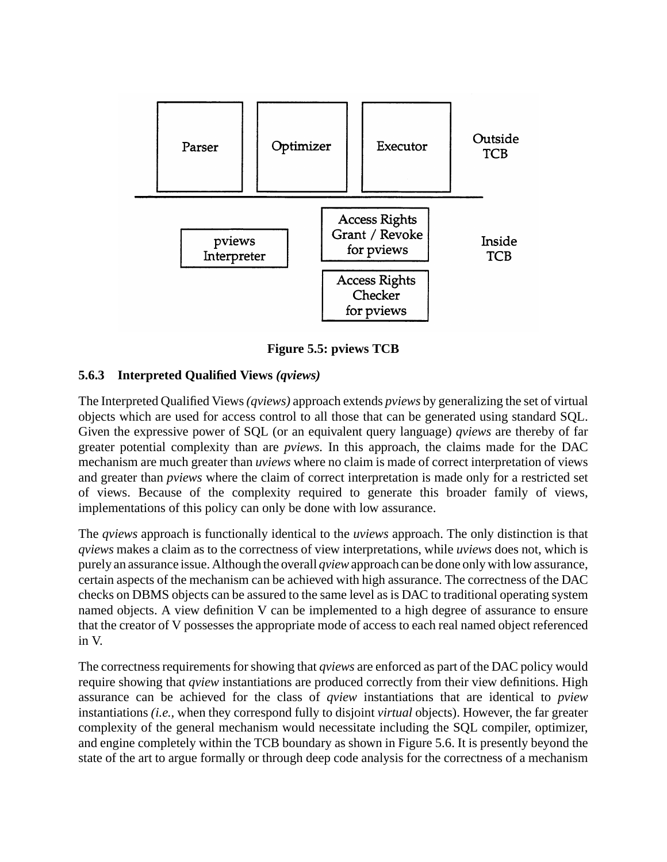

**Figure 5.5: pviews TCB**

### **5.6.3 Interpreted Qualified Views** *(qviews)*

The Interpreted Qualified Views*(qviews)* approach extends *pviews* by generalizing the set of virtual objects which are used for access control to all those that can be generated using standard SQL. Given the expressive power of SQL (or an equivalent query language) *qviews* are thereby of far greater potential complexity than are *pviews.* In this approach, the claims made for the DAC mechanism are much greater than *uviews* where no claim is made of correct interpretation of views and greater than *pviews* where the claim of correct interpretation is made only for a restricted set of views. Because of the complexity required to generate this broader family of views, implementations of this policy can only be done with low assurance.

The *qviews* approach is functionally identical to the *uviews* approach. The only distinction is that *qviews* makes a claim as to the correctness of view interpretations, while *uviews* does not, which is purely an assurance issue. Although the overall *qview*approach can be done only with low assurance, certain aspects of the mechanism can be achieved with high assurance. The correctness of the DAC checks on DBMS objects can be assured to the same level as is DAC to traditional operating system named objects. A view definition V can be implemented to a high degree of assurance to ensure that the creator of V possesses the appropriate mode of access to each real named object referenced in V.

The correctness requirements for showing that *qviews* are enforced as part of the DAC policy would require showing that *qview* instantiations are produced correctly from their view definitions. High assurance can be achieved for the class of *qview* instantiations that are identical to *pview* instantiations *(i.e.,* when they correspond fully to disjoint *virtual* objects). However, the far greater complexity of the general mechanism would necessitate including the SQL compiler, optimizer, and engine completely within the TCB boundary as shown in Figure 5.6. It is presently beyond the state of the art to argue formally or through deep code analysis for the correctness of a mechanism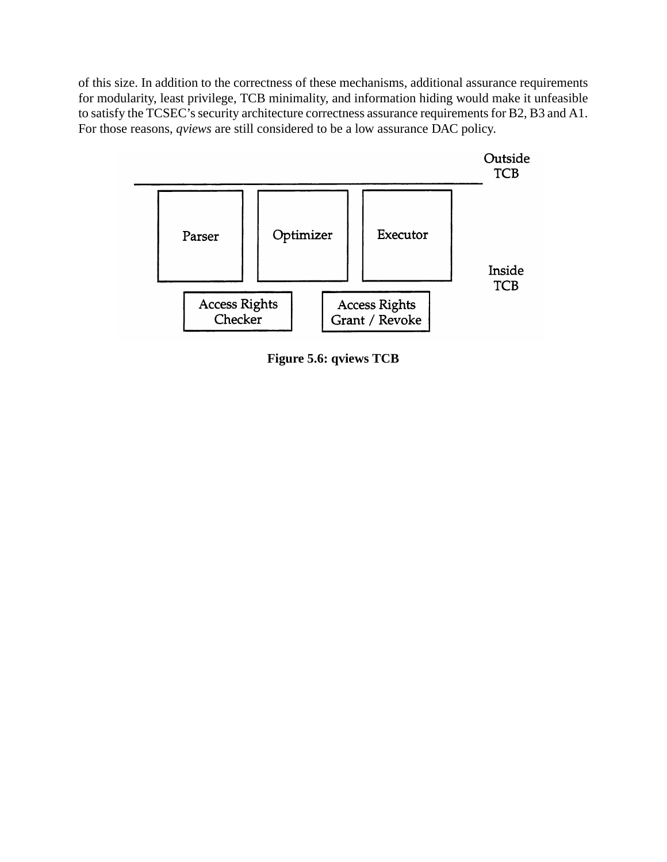of this size. In addition to the correctness of these mechanisms, additional assurance requirements for modularity, least privilege, TCB minimality, and information hiding would make it unfeasible to satisfy the TCSEC's security architecture correctness assurance requirements for B2, B3 and A1. For those reasons, *qviews* are still considered to be a low assurance DAC policy.



**Figure 5.6: qviews TCB**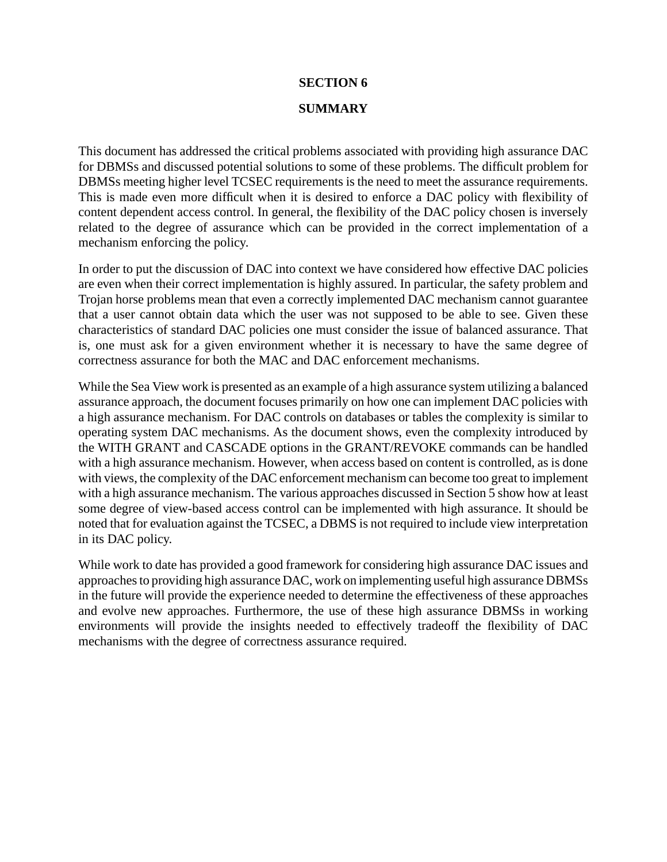#### **SECTION 6**

#### **SUMMARY**

This document has addressed the critical problems associated with providing high assurance DAC for DBMSs and discussed potential solutions to some of these problems. The difficult problem for DBMSs meeting higher level TCSEC requirements is the need to meet the assurance requirements. This is made even more difficult when it is desired to enforce a DAC policy with flexibility of content dependent access control. In general, the flexibility of the DAC policy chosen is inversely related to the degree of assurance which can be provided in the correct implementation of a mechanism enforcing the policy.

In order to put the discussion of DAC into context we have considered how effective DAC policies are even when their correct implementation is highly assured. In particular, the safety problem and Trojan horse problems mean that even a correctly implemented DAC mechanism cannot guarantee that a user cannot obtain data which the user was not supposed to be able to see. Given these characteristics of standard DAC policies one must consider the issue of balanced assurance. That is, one must ask for a given environment whether it is necessary to have the same degree of correctness assurance for both the MAC and DAC enforcement mechanisms.

While the Sea View work is presented as an example of a high assurance system utilizing a balanced assurance approach, the document focuses primarily on how one can implement DAC policies with a high assurance mechanism. For DAC controls on databases or tables the complexity is similar to operating system DAC mechanisms. As the document shows, even the complexity introduced by the WITH GRANT and CASCADE options in the GRANT/REVOKE commands can be handled with a high assurance mechanism. However, when access based on content is controlled, as is done with views, the complexity of the DAC enforcement mechanism can become too great to implement with a high assurance mechanism. The various approaches discussed in Section 5 show how at least some degree of view-based access control can be implemented with high assurance. It should be noted that for evaluation against the TCSEC, a DBMS is not required to include view interpretation in its DAC policy.

While work to date has provided a good framework for considering high assurance DAC issues and approaches to providing high assurance DAC, work on implementing useful high assurance DBMSs in the future will provide the experience needed to determine the effectiveness of these approaches and evolve new approaches. Furthermore, the use of these high assurance DBMSs in working environments will provide the insights needed to effectively tradeoff the flexibility of DAC mechanisms with the degree of correctness assurance required.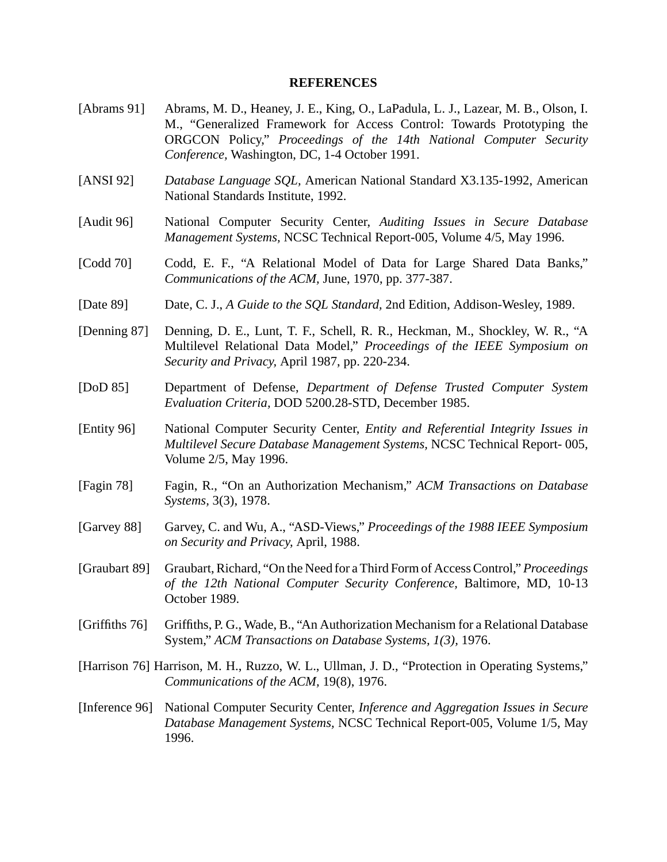#### **REFERENCES**

- [Abrams 91] Abrams, M. D., Heaney, J. E., King, O., LaPadula, L. J., Lazear, M. B., Olson, I. M., "Generalized Framework for Access Control: Towards Prototyping the ORGCON Policy," *Proceedings of the 14th National Computer Security Conference,* Washington, DC, 1-4 October 1991.
- [ANSI 92] *Database Language SQL,* American National Standard X3.135-1992, American National Standards Institute, 1992.
- [Audit 96] National Computer Security Center, *Auditing Issues in Secure Database Management Systems,* NCSC Technical Report-005, Volume 4/5, May 1996.
- [Codd 70] Codd, E. F., "A Relational Model of Data for Large Shared Data Banks," *Communications of the ACM,* June, 1970, pp. 377-387.
- [Date 89] Date, C. J., *A Guide to the SQL Standard,* 2nd Edition, Addison-Wesley, 1989.
- [Denning 87] Denning, D. E., Lunt, T. F., Schell, R. R., Heckman, M., Shockley, W. R., "A Multilevel Relational Data Model," *Proceedings of the IEEE Symposium on Security and Privacy,* April 1987, pp. 220-234.
- [DoD 85] Department of Defense, *Department of Defense Trusted Computer System Evaluation Criteria,* DOD 5200.28-STD, December 1985.
- [Entity 96] National Computer Security Center, *Entity and Referential Integrity Issues in Multilevel Secure Database Management Systems,* NCSC Technical Report- 005, Volume 2/5, May 1996.
- [Fagin 78] Fagin, R., "On an Authorization Mechanism," *ACM Transactions on Database Systems,* 3(3), 1978.
- [Garvey 88] Garvey, C. and Wu, A., "ASD-Views," *Proceedings of the 1988 IEEE Symposium on Security and Privacy,* April, 1988.
- [Graubart 89] Graubart, Richard, "On the Need for a Third Form of Access Control," *Proceedings of the 12th National Computer Security Conference,* Baltimore, MD, 10-13 October 1989.
- [Griffiths 76] Griffiths, P. G., Wade, B., "An Authorization Mechanism for a Relational Database System," *ACM Transactions on Database Systems, 1(3),* 1976.
- [Harrison 76] Harrison, M. H., Ruzzo, W. L., Ullman, J. D., "Protection in Operating Systems," *Communications of the ACM,* 19(8), 1976.
- [Inference 96] National Computer Security Center, *Inference and Aggregation Issues in Secure Database Management Systems,* NCSC Technical Report-005, Volume 1/5, May 1996.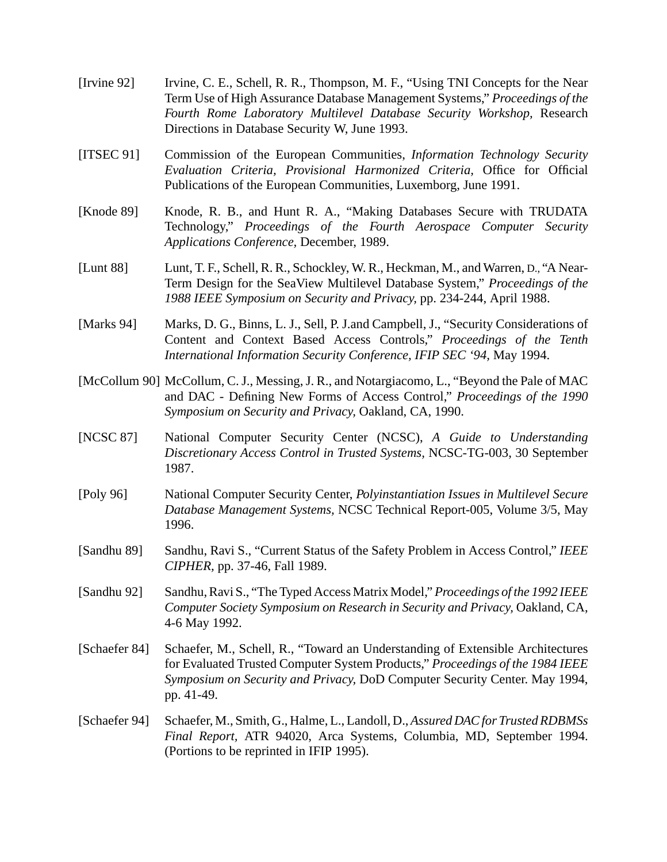- [Irvine 92] Irvine, C. E., Schell, R. R., Thompson, M. F., "Using TNI Concepts for the Near Term Use of High Assurance Database Management Systems," *Proceedings of the Fourth Rome Laboratory Multilevel Database Security Workshop,* Research Directions in Database Security W, June 1993.
- [ITSEC 91] Commission of the European Communities, *Information Technology Security Evaluation Criteria, Provisional Harmonized Criteria,* Office for Official Publications of the European Communities, Luxemborg, June 1991.
- [Knode 89] Knode, R. B., and Hunt R. A., "Making Databases Secure with TRUDATA Technology," *Proceedings of the Fourth Aerospace Computer Security Applications Conference,* December, 1989.
- [Lunt 88] Lunt, T. F., Schell, R. R., Schockley, W. R., Heckman, M., and Warren, D., "A Near-Term Design for the SeaView Multilevel Database System," *Proceedings of the 1988 IEEE Symposium on Security and Privacy,* pp. 234-244, April 1988.
- [Marks 94] Marks, D. G., Binns, L. J., Sell, P. J. and Campbell, J., "Security Considerations of Content and Context Based Access Controls," *Proceedings of the Tenth International Information Security Conference, IFIP SEC '94,* May 1994.
- [McCollum 90] McCollum, C. J., Messing, J. R., and Notargiacomo, L., "Beyond the Pale of MAC and DAC - Defining New Forms of Access Control," *Proceedings of the 1990 Symposium on Security and Privacy,* Oakland, CA, 1990.
- [NCSC 87] National Computer Security Center (NCSC), *A Guide to Understanding Discretionary Access Control in Trusted Systems,* NCSC-TG-003, 30 September 1987.
- [Poly 96] National Computer Security Center, *Polyinstantiation Issues in Multilevel Secure Database Management Systems,* NCSC Technical Report-005, Volume 3/5, May 1996.
- [Sandhu 89] Sandhu, Ravi S., "Current Status of the Safety Problem in Access Control," *IEEE CIPHER,* pp. 37-46, Fall 1989.
- [Sandhu 92] Sandhu, Ravi S., "The Typed Access Matrix Model," *Proceedings of the 1992 IEEE Computer Society Symposium on Research in Security and Privacy,* Oakland, CA, 4-6 May 1992.
- [Schaefer 84] Schaefer, M., Schell, R., "Toward an Understanding of Extensible Architectures for Evaluated Trusted Computer System Products," *Proceedings of the 1984 IEEE Symposium on Security and Privacy,* DoD Computer Security Center. May 1994, pp. 41-49.
- [Schaefer 94] Schaefer, M., Smith, G., Halme, L., Landoll, D.,*Assured DAC for Trusted RDBMSs Final Report,* ATR 94020, Arca Systems, Columbia, MD, September 1994. (Portions to be reprinted in IFIP 1995).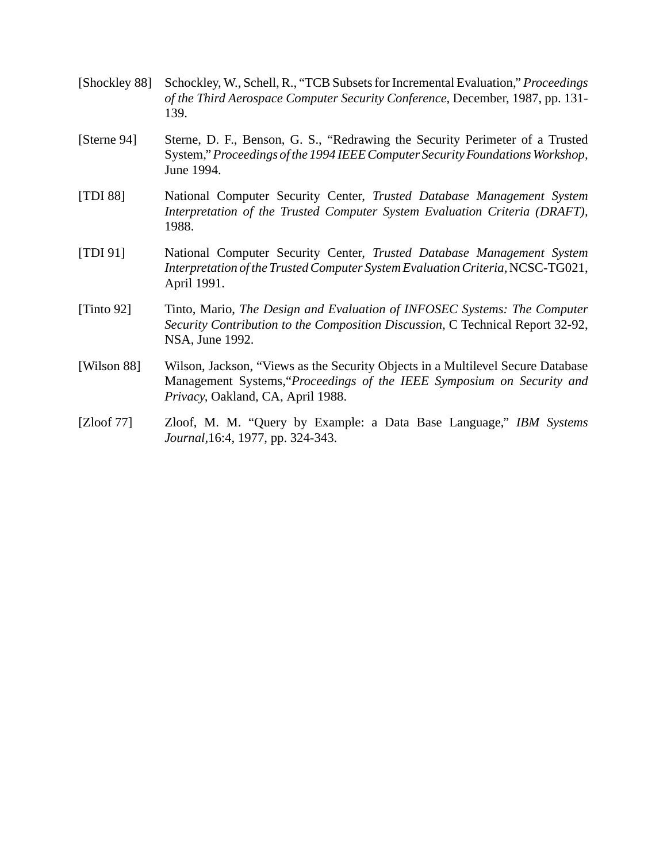- [Shockley 88] Schockley, W., Schell, R., "TCB Subsets for Incremental Evaluation," *Proceedings of the Third Aerospace Computer Security Conference,* December, 1987, pp. 131- 139.
- [Sterne 94] Sterne, D. F., Benson, G. S., "Redrawing the Security Perimeter of a Trusted System,"*Proceedings of the 1994 IEEE Computer Security Foundations Workshop,* June 1994.
- [TDI 88] National Computer Security Center, *Trusted Database Management System Interpretation of the Trusted Computer System Evaluation Criteria (DRAFT),* 1988.
- [TDI 91] National Computer Security Center, *Trusted Database Management System Interpretation of the Trusted Computer System Evaluation Criteria,*NCSC-TG021, April 1991.
- [Tinto 92] Tinto, Mario, *The Design and Evaluation of INFOSEC Systems: The Computer Security Contribution to the Composition Discussion,* C Technical Report 32-92, NSA, June 1992.
- [Wilson 88] Wilson, Jackson, "Views as the Security Objects in a Multilevel Secure Database Management Systems,"*Proceedings of the IEEE Symposium on Security and Privacy,* Oakland, CA, April 1988.
- [Zloof 77] Zloof, M. M. "Query by Example: a Data Base Language," *IBM Systems Journal,*16:4, 1977, pp. 324-343.